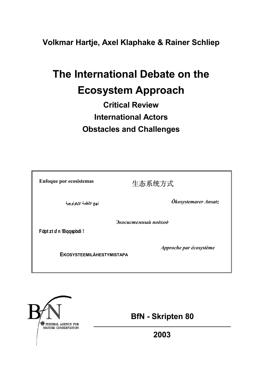**Volkmar Hartje, Axel Klaphake & Rainer Schliep** 

# **The International Debate on the Ecosystem Approach**

# **Critical Review International Actors Obstacles and Challenges**

| <b>Enfoque por ecosistemas</b>                              | 生态系统方式               |  |  |  |
|-------------------------------------------------------------|----------------------|--|--|--|
| نهج الأنظمة الإيكولوجية                                     | Ökosystemarer Ansatz |  |  |  |
| Экосистемный подход<br>Fdpt zt uf n !Bqqspbdi !             |                      |  |  |  |
| Approche par écosystème<br><b>EKOSYSTEEMILÄHESTYMISTAPA</b> |                      |  |  |  |



 **BfN - Skripten 80** 

**2003**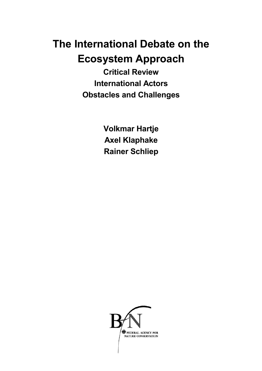# **The International Debate on the Ecosystem Approach**

**Critical Review International Actors Obstacles and Challenges** 

> **Volkmar Hartje Axel Klaphake Rainer Schliep**

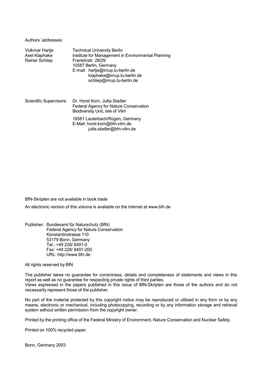Authors' addresses:

| Volkmar Hartje<br>Axel Klaphake<br><b>Rainer Schliep</b> | <b>Technical University Berlin</b><br>Institute for Management in Environmental Planning<br>Franklinstr. 28/29<br>10587 Berlin, Germany<br>E-mail: hartje@imup.tu-berlin.de<br>klaphake@imup.tu-berlin.de<br>schliep@imup.tu-berlin.de |
|----------------------------------------------------------|----------------------------------------------------------------------------------------------------------------------------------------------------------------------------------------------------------------------------------------|
| Scientific Supervisors:                                  | Dr. Horst Korn, Jutta Stadler<br>Federal Agency for Nature Conservation<br>Biodiversity Unit, Isle of Vilm                                                                                                                             |
|                                                          | 18581 Lauterbach/Rügen, Germany<br>E-Mail: horst.korn@bfn-vilm.de<br>jutta.stadler@bfn-vilm.de                                                                                                                                         |

#### BfN-Skripten are not available in book trade

An electronic version of this volume is available on the internet at www.bfn.de

Publisher: Bundesamt für Naturschutz (BfN) Federal Agency for Nature Conservation Konstantinstrasse 110 53179 Bonn, Germany Tel.: +49 228/ 8491-0 Fax: +49 228/ 8491-200 URL: http://www.bfn.de

All rights reserved by BfN

The publisher takes no guarantee for correctness, details and completeness of statements and views in this report as well as no guarantee for respecting private rights of third parties. Views expressed in the papers published in this issue of BfN-Skripten are those of the authors and do not necessarily represent those of the publisher.

No part of the material protected by this copyright notice may be reproduced or utilized in any form or by any means, electronic or mechanical, including photocopying, recording or by any information storage and retrieval system without written permission from the copyright owner.

Printed by the printing office of the Federal Ministry of Environment, Nature Conservation and Nuclear Safety.

Printed on 100% recycled paper.

Bonn, Germany 2003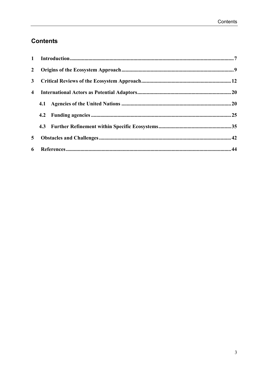# **Contents**

| $\overline{2}$ |  |
|----------------|--|
| 3 <sup>1</sup> |  |
| 4              |  |
|                |  |
|                |  |
|                |  |
| 5 <sup>5</sup> |  |
| 6              |  |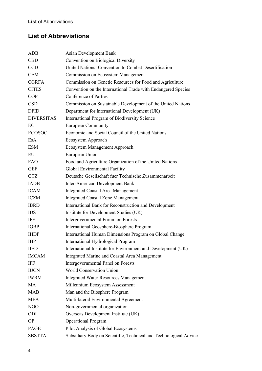# **List of Abbreviations**

| ADB               | Asian Development Bank                                            |
|-------------------|-------------------------------------------------------------------|
| <b>CBD</b>        | Convention on Biological Diversity                                |
| <b>CCD</b>        | United Nations' Convention to Combat Desertification              |
| <b>CEM</b>        | Commission on Ecosystem Management                                |
| <b>CGRFA</b>      | Commission on Genetic Resources for Food and Agriculture          |
| <b>CITES</b>      | Convention on the International Trade with Endangered Species     |
| <b>COP</b>        | Conference of Parties                                             |
| <b>CSD</b>        | Commission on Sustainable Development of the United Nations       |
| <b>DFID</b>       | Department for International Development (UK)                     |
| <b>DIVERSITAS</b> | <b>International Program of Biodiversity Science</b>              |
| EC                | <b>European Community</b>                                         |
| <b>ECOSOC</b>     | Economic and Social Council of the United Nations                 |
| EsA               | Ecosystem Approach                                                |
| <b>ESM</b>        | Ecosystem Management Approach                                     |
| EU                | European Union                                                    |
| <b>FAO</b>        | Food and Agriculture Organization of the United Nations           |
| <b>GEF</b>        | Global Environmental Facility                                     |
| <b>GTZ</b>        | Deutsche Gesellschaft fuer Technische Zusammenarbeit              |
| <b>IADB</b>       | <b>Inter-American Development Bank</b>                            |
| <b>ICAM</b>       | <b>Integrated Coastal Area Management</b>                         |
| <b>ICZM</b>       | <b>Integrated Coastal Zone Management</b>                         |
| <b>IBRD</b>       | International Bank for Reconstruction and Development             |
| <b>IDS</b>        | Institute for Development Studies (UK)                            |
| IFF               | Intergovernmental Forum on Forests                                |
| <b>IGBP</b>       | International Geosphere-Biosphere Program                         |
| <b>IHDP</b>       | International Human Dimensions Program on Global Change           |
| <b>IHP</b>        | International Hydrological Program                                |
| <b>IIED</b>       | International Institute for Environment and Development (UK)      |
| <b>IMCAM</b>      | Integrated Marine and Coastal Area Management                     |
| <b>IPF</b>        | Intergovernmental Panel on Forests                                |
| <b>IUCN</b>       | <b>World Conservation Union</b>                                   |
| <b>IWRM</b>       | <b>Integrated Water Resources Management</b>                      |
| <b>MA</b>         | Millennium Ecosystem Assessment                                   |
| <b>MAB</b>        | Man and the Biosphere Program                                     |
| <b>MEA</b>        | Multi-lateral Environmental Agreement                             |
| NGO               | Non-governmental organization                                     |
| ODI               | Overseas Development Institute (UK)                               |
| <b>OP</b>         | <b>Operational Program</b>                                        |
| PAGE              | Pilot Analysis of Global Ecosystems                               |
| <b>SBSTTA</b>     | Subsidiary Body on Scientific, Technical and Technological Advice |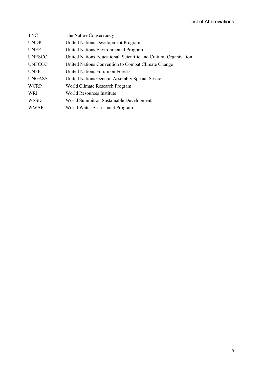| <b>TNC</b>    | The Nature Conservancy                                           |
|---------------|------------------------------------------------------------------|
| <b>UNDP</b>   | <b>United Nations Development Program</b>                        |
| <b>UNEP</b>   | United Nations Environmental Program                             |
| <b>UNESCO</b> | United Nations Educational, Scientific and Cultural Organization |
| <b>UNFCCC</b> | United Nations Convention to Combat Climate Change               |
| <b>UNFF</b>   | United Nations Forum on Forests                                  |
| <b>UNGASS</b> | United Nations General Assembly Special Session                  |
| <b>WCRP</b>   | World Climate Research Program                                   |
| WRI           | World Resources Institute                                        |
| <b>WSSD</b>   | World Summit on Sustainable Development                          |
| <b>WWAP</b>   | World Water Assessment Program                                   |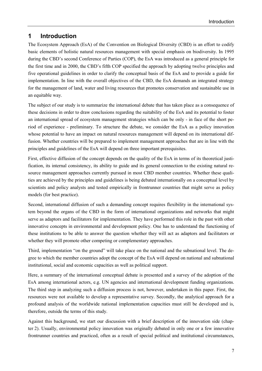# **1 Introduction**

The Ecosystem Approach (EsA) of the Convention on Biological Diversity (CBD) is an effort to codify basic elements of holistic natural resources management with special emphasis on biodiversity. In 1995 during the CBD's second Conference of Parties (COP), the EsA was introduced as a general principle for the first time and in 2000, the CBD's fifth COP specified the approach by adopting twelve principles and five operational guidelines in order to clarify the conceptual basis of the EsA and to provide a guide for implementation. In line with the overall objectives of the CBD, the EsA demands an integrated strategy for the management of land, water and living resources that promotes conservation and sustainable use in an equitable way.

The subject of our study is to summarize the international debate that has taken place as a consequence of these decisions in order to draw conclusions regarding the suitability of the EsA and its potential to foster an international spread of ecosystem management strategies which can be only - in face of the short period of experience - preliminary. To structure the debate, we consider the EsA as a policy innovation whose potential to have an impact on natural resources management will depend on its international diffusion. Whether countries will be prepared to implement management approaches that are in line with the principles and guidelines of the EsA will depend on three important prerequisites.

First, effective diffusion of the concept depends on the quality of the EsA in terms of its theoretical justification, its internal consistency, its ability to guide and its general connection to the existing natural resource management approaches currently pursued in most CBD member countries. Whether these qualities are achieved by the principles and guidelines is being debated internationally on a conceptual level by scientists and policy analysts and tested empirically in frontrunner countries that might serve as policy models (for best practice).

Second, international diffusion of such a demanding concept requires flexibility in the international system beyond the organs of the CBD in the form of international organizations and networks that might serve as adaptors and facilitators for implementation. They have performed this role in the past with other innovative concepts in environmental and development policy. One has to understand the functioning of these institutions to be able to answer the question whether they will act as adaptors and facilitators or whether they will promote other competing or complementary approaches.

Third, implementation "on the ground" will take place on the national and the subnational level. The degree to which the member countries adopt the concept of the EsA will depend on national and subnational institutional, social and economic capacities as well as political support.

Here, a summary of the international conceptual debate is presented and a survey of the adoption of the EsA among international actors, e.g. UN agencies and international development funding organizations. The third step in analyzing such a diffusion process is not, however, undertaken in this paper. First, the resources were not available to develop a representative survey. Secondly, the analytical approach for a profound analysis of the worldwide national implementation capacities must still be developed and is, therefore, outside the terms of this study.

Against this background, we start our discussion with a brief description of the innovation side (chapter 2). Usually, environmental policy innovation was originally debated in only one or a few innovative frontrunner countries and practiced, often as a result of special political and institutional circumstances,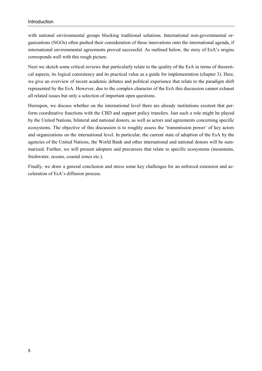with national environmental groups blocking traditional solutions. International non-governmental organizations (NGOs) often pushed their consideration of these innovations onto the international agenda, if international environmental agreements proved successful. As outlined below, the story of EsA's origins corresponds well with this rough picture.

Next we sketch some critical reviews that particularly relate to the quality of the EsA in terms of theoretical aspects, its logical consistency and its practical value as a guide for implementation (chapter 3). Here, we give an overview of recent academic debates and political experience that relate to the paradigm shift represented by the EsA. However, due to the complex character of the EsA this discussion cannot exhaust all related issues but only a selection of important open questions.

Hereupon, we discuss whether on the international level there are already institutions existent that perform coordinative functions with the CBD and support policy transfers. Just such a role might be played by the United Nations, bilateral and national donors, as well as actors and agreements concerning specific ecosystems. The objective of this discussion is to roughly assess the 'transmission power' of key actors and organizations on the international level. In particular, the current state of adoption of the EsA by the agencies of the United Nations, the World Bank and other international and national donors will be summarized. Further, we will present adopters and precursors that relate to specific ecosystems (mountains, freshwater, oceans, coastal zones etc.).

Finally, we draw a general conclusion and stress some key challenges for an enforced extension and acceleration of EsA's diffusion process.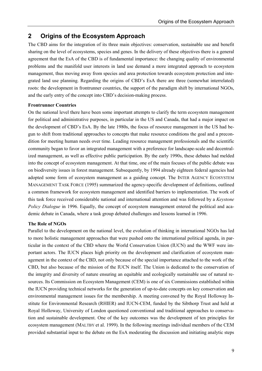# **2 Origins of the Ecosystem Approach**

The CBD aims for the integration of its three main objectives: conservation, sustainable use and benefit sharing on the level of ecosystems, species and genes. In the delivery of these objectives there is a general agreement that the EsA of the CBD is of fundamental importance: the changing quality of environmental problems and the manifold user interests in land use demand a more integrated approach to ecosystem management, thus moving away from species and area protection towards ecosystem protection and integrated land use planning. Regarding the origins of CBD's EsA there are three (somewhat interrelated) roots: the development in frontrunner countries, the support of the paradigm shift by international NGOs, and the early entry of the concept into CBD's decision-making process.

## **Frontrunner Countries**

On the national level there have been some important attempts to clarify the term ecosystem management for political and administrative purposes, in particular in the US and Canada, that had a major impact on the development of CBD's EsA. By the late 1980s, the focus of resource management in the US had begun to shift from traditional approaches to concepts that make resource conditions the goal and a precondition for meeting human needs over time. Leading resource management professionals and the scientific community began to favor an integrated management with a preference for landscape-scale and decentralized management, as well as effective public participation. By the early 1990s, these debates had melded into the concept of ecosystem management. At that time, one of the main focuses of the public debate was on biodiversity issues in forest management. Subsequently, by 1994 already eighteen federal agencies had adopted some form of ecosystem management as a guiding concept. The INTER AGENCY ECOSYSTEM MANAGEMENT TASK FORCE (1995) summarized the agency-specific development of definitions, outlined a common framework for ecosystem management and identified barriers to implementation. The work of this task force received considerable national and international attention and was followed by a *Keystone Policy Dialogue* in 1996. Equally, the concept of ecosystem management entered the political and academic debate in Canada, where a task group debated challenges and lessons learned in 1996.

# **The Role of NGOs**

Parallel to the development on the national level, the evolution of thinking in international NGOs has led to more holistic management approaches that were pushed onto the international political agenda, in particular in the context of the CBD where the World Conservation Union (IUCN) and the WWF were important actors. The IUCN places high priority on the development and clarification of ecosystem management in the context of the CBD, not only because of the special importance attached to the work of the CBD, but also because of the mission of the IUCN itself. The Union is dedicated to the conservation of the integrity and diversity of nature ensuring an equitable and ecologically sustainable use of natural resources. Its Commission on Ecosystem Management (CEM) is one of six Commissions established within the IUCN providing technical networks for the generation of up-to-date concepts on key conservation and environmental management issues for the membership. A meeting convened by the Royal Holloway Institute for Environmental Research (RHIER) and IUCN-CEM, funded by the Sibthorp Trust and held at Royal Holloway, University of London questioned conventional and traditional approaches to conservation and sustainable development. One of the key outcomes was the development of ten principles for ecosystem management (MALTBY et al. 1999). In the following meetings individual members of the CEM provided substantial input to the debate on the EsA moderating the discussion and initiating analytic steps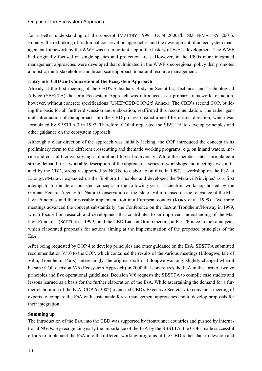for a better understanding of the concept (MALTBY 1999, IUCN 2000a/b, SMITH/MALTBY 2001). Equally, the rethinking of traditional conservation approaches and the development of an ecosystem management framework by the WWF was an important step in the history of EsA's development. The WWF had originally focused on single species and protection areas. However, in the 1990s more integrated management approaches were developed that culminated in the WWF's ecoregional policy that promotes a holistic, multi-stakeholder and broad scale approach in natural resource management.

### **Entry into CBD and Concretion of the Ecosystem Approach**

Already at the first meeting of the CBD's Subsidiary Body on Scientific, Technical and Technological Advice (SBSTTA) the term Ecosystem Approach was introduced as a primary framework for action, however, without concrete specifications (UNEP/CBD/COP/2/5 Annex). The CBD's second COP, building the basis for all further discussion and elaboration, reaffirmed this recommendation. The rather general introduction of the approach into the CBD process created a need for clearer direction, which was formulated by SBSTTA 3 in 1997. Therefore, COP 4 requested the SBSTTA to develop principles and other guidance on the ecosystem approach.

Although a clear direction of the approach was initially lacking, the COP introduced the concept in its preliminary form to the different crosscutting and thematic working programs, e.g. on inland waters, marine and coastal biodiversity, agricultural and forest biodiversity. While the member states formulated a strong demand for a workable description of the approach, a series of workshops and meetings was initiated by the CBD, strongly supported by NGOs, to elaborate on this. In 1997, a workshop on the EsA at Lilongwe/Malawi expanded on the Sibthorp Principles and developed the 'Malawi-Principles' as a first attempt to formulate a consistent concept. In the following year, a scientific workshop hosted by the German Federal Agency for Nature Conservation at the Isle of Vilm focused on the relevance of the Malawi Principles and their possible implementation in a European context (KORN et al. 1999). Two more meetings advanced the concept substantially: the Conference on the EsA at Trondheim/Norway in 1999, which focused on research and development that contributes to an improved understanding of the Malawi-Principles (SCHEI et al. 1999), and the CBD Liaison Group meeting at Paris/France in the same year, which elaborated proposals for actions aiming at the implementation of the proposed principles of the EsA.

After being requested by COP 4 to develop principles and other guidance on the EsA, SBSTTA submitted recommendation V/10 to the COP, which contained the results of the various meetings (Lilongwe, Isle of Vilm, Trondheim, Paris). Interestingly, the original draft of Lilongwe was only slightly changed when it became COP decision V/6 (Ecosystem Approach) in 2000 that concretizes the EsA in the form of twelve principles and five operational guidelines. Decision V/6 requests the SBSTTA to compile case studies and lessons learned as a basis for the further elaboration of the EsA. While ascertaining the demand for a further elaboration of the EsA, COP 6 (2002) requested CBD's Executive Secretary to convene a meeting of experts to compare the EsA with sustainable forest management approaches and to develop proposals for their integration.

#### **Summing up**

The introduction of the EsA into the CBD was supported by frontrunner countries and pushed by international NGOs. By recognizing early the importance of the EsA by the SBSTTA, the COPs made successful efforts to implement the EsA into the different working programs of the CBD rather than to develop and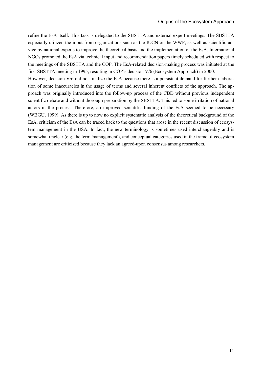refine the EsA itself. This task is delegated to the SBSTTA and external expert meetings. The SBSTTA especially utilized the input from organizations such as the IUCN or the WWF, as well as scientific advice by national experts to improve the theoretical basis and the implementation of the EsA. International NGOs promoted the EsA via technical input and recommendation papers timely scheduled with respect to the meetings of the SBSTTA and the COP. The EsA-related decision-making process was initiated at the first SBSTTA meeting in 1995, resulting in COP's decision V/6 (Ecosystem Approach) in 2000.

However, decision V/6 did not finalize the EsA because there is a persistent demand for further elaboration of some inaccuracies in the usage of terms and several inherent conflicts of the approach. The approach was originally introduced into the follow-up process of the CBD without previous independent scientific debate and without thorough preparation by the SBSTTA. This led to some irritation of national actors in the process. Therefore, an improved scientific funding of the EsA seemed to be necessary (WBGU, 1999). As there is up to now no explicit systematic analysis of the theoretical background of the EsA, criticism of the EsA can be traced back to the questions that arose in the recent discussion of ecosystem management in the USA. In fact, the new terminology is sometimes used interchangeably and is somewhat unclear (e.g. the term 'management'), and conceptual categories used in the frame of ecosystem management are criticized because they lack an agreed-upon consensus among researchers.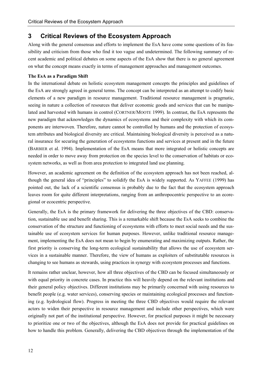# **3 Critical Reviews of the Ecosystem Approach**

Along with the general consensus and efforts to implement the EsA have come some questions of its feasibility and criticism from those who find it too vague and undetermined. The following summary of recent academic and political debates on some aspects of the EsA show that there is no general agreement on what the concept means exactly in terms of management approaches and management outcomes.

# **The EsA as a Paradigm Shift**

In the international debate on holistic ecosystem management concepts the principles and guidelines of the EsA are strongly agreed in general terms. The concept can be interpreted as an attempt to codify basic elements of a new paradigm in resource management. Traditional resource management is pragmatic, seeing in nature a collection of resources that deliver economic goods and services that can be manipulated and harvested with humans in control (CORTNER/MOOTE 1999). In contrast, the EsA represents the new paradigm that acknowledges the dynamics of ecosystems and their complexity with which its components are interwoven. Therefore, nature cannot be controlled by humans and the protection of ecosystem attributes and biological diversity are critical. Maintaining biological diversity is perceived as a natural insurance for securing the generation of ecosystems functions and services at present and in the future (BARBIER et al. 1994). Implementation of the EsA means that more integrated or holistic concepts are needed in order to move away from protection on the species level to the conservation of habitats or ecosystem networks, as well as from area protection to integrated land use planning.

However, an academic agreement on the definition of the ecosystem approach has not been reached, although the general idea of "principles" to solidify the EsA is widely supported. As YAFFEE (1999) has pointed out, the lack of a scientific consensus is probably due to the fact that the ecosystem approach leaves room for quite different interpretations, ranging from an anthropocentric perspective to an ecoregional or ecocentric perspective.

Generally, the EsA is the primary framework for delivering the three objectives of the CBD: conservation, sustainable use and benefit sharing. This is a remarkable shift because the EsA seeks to combine the conservation of the structure and functioning of ecosystems with efforts to meet social needs and the sustainable use of ecosystem services for human purposes. However, unlike traditional resource management, implementing the EsA does not mean to begin by enumerating and maximizing outputs. Rather, the first priority is conserving the long-term ecological sustainability that allows the use of ecosystem services in a sustainable manner. Therefore, the view of humans as exploiters of substitutable resources is changing to see humans as stewards, using practices in synergy with ecosystem processes and functions.

It remains rather unclear, however, how all three objectives of the CBD can be focused simultaneously or with equal priority in concrete cases. In practice this will heavily depend on the relevant institutions and their general policy objectives. Different institutions may be primarily concerned with using resources to benefit people (e.g. water services), conserving species or maintaining ecological processes and functioning (e.g. hydrological flow). Progress in meeting the three CBD objectives would require the relevant actors to widen their perspective in resource management and include other perspectives, which were originally not part of the institutional perspective. However, for practical purposes it might be necessary to prioritize one or two of the objectives, although the EsA does not provide for practical guidelines on how to handle this problem. Generally, delivering the CBD objectives through the implementation of the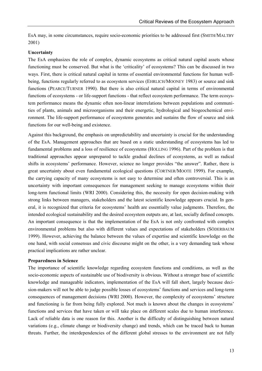EsA may, in some circumstances, require socio-economic priorities to be addressed first (SMITH/MALTBY 2001)

### **Uncertainty**

The EsA emphasizes the role of complex, dynamic ecosystems as critical natural capital assets whose functioning must be conserved. But what is the 'criticality' of ecosystems? This can be discussed in two ways. First, there is critical natural capital in terms of essential environmental functions for human wellbeing, functions regularly referred to as ecosystem services (EHRLICH/MOONEY 1983) or source and sink functions (PEARCE/TURNER 1990). But there is also critical natural capital in terms of environmental functions of ecosystems - or life-support functions - that reflect ecosystem performance. The term ecosystem performance means the dynamic often non-linear interrelations between populations and communities of plants, animals and microorganisms and their energetic, hydrological and biogeochemical environment. The life-support performance of ecosystems generates and sustains the flow of source and sink functions for our well-being and existence.

Against this background, the emphasis on unpredictability and uncertainty is crucial for the understanding of the EsA. Management approaches that are based on a static understanding of ecosystems has led to fundamental problems and a loss of resilience of ecosystems (HOLLING 1996). Part of the problem is that traditional approaches appear unprepared to tackle gradual declines of ecosystems, as well as radical shifts in ecosystems' performance. However, science no longer provides "the answer". Rather, there is great uncertainty about even fundamental ecological questions (CORTNER/MOOTE 1999). For example, the carrying capacity of many ecosystems is not easy to determine and often controversial. This is an uncertainty with important consequences for management seeking to manage ecosystems within their long-term functional limits (WRI 2000). Considering this, the necessity for open decision-making with strong links between managers, stakeholders and the latest scientific knowledge appears crucial. In general, it is recognized that criteria for ecosystems' health are essentially value judgments. Therefore, the intended ecological sustainability and the desired ecosystem outputs are, at last, socially defined concepts. An important consequence is that the implementation of the EsA is not only confronted with complex environmental problems but also with different values and expectations of stakeholders (SÖDERBAUM 1999). However, achieving the balance between the values of expertise and scientific knowledge on the one hand, with social consensus and civic discourse might on the other, is a very demanding task whose practical implications are rather unclear.

#### **Preparedness in Science**

The importance of scientific knowledge regarding ecosystem functions and conditions, as well as the socio-economic aspects of sustainable use of biodiversity is obvious. Without a stronger base of scientific knowledge and manageable indicators, implementation of the EsA will fall short, largely because decision-makers will not be able to judge possible losses of ecosystems' functions and services and long-term consequences of management decisions (WRI 2000). However, the complexity of ecosystems' structure and functioning is far from being fully explored. Not much is known about the changes in ecosystems' functions and services that have taken or will take place on different scales due to human interference. Lack of reliable data is one reason for this. Another is the difficulty of distinguishing between natural variations (e.g., climate change or biodiversity change) and trends, which can be traced back to human threats. Further, the interdependencies of the different global stresses to the environment are not fully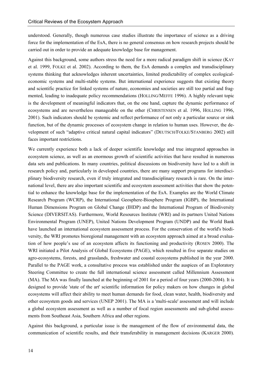understood. Generally, though numerous case studies illustrate the importance of science as a driving force for the implementation of the EsA, there is no general consensus on how research projects should be carried out in order to provide an adequate knowledge base for management.

Against this background, some authors stress the need for a more radical paradigm shift in science (KAY et al. 1999, FOLKE et al. 2002). According to them, the EsA demands a complex and transdisciplinary systems thinking that acknowledges inherent uncertainties, limited predictability of complex ecologicaleconomic systems and multi-stable systems. But international experience suggests that existing theory and scientific practice for linked systems of nature, economies and societies are still too partial and fragmented, leading to inadequate policy recommendations (HOLLING/MEFFE 1996). A highly relevant topic is the development of meaningful indicators that, on the one hand, capture the dynamic performance of ecosystems and are nevertheless manageable on the other (CHRISTENSEN et al. 1996, HOLLING 1996, 2001). Such indicators should be systemic and reflect performance of not only a particular source or sink function, but of the dynamic processes of ecosystem change in relation to human uses. However, the development of such "adaptive critical natural capital indicators" (DEUTSCH/FOLKE/STANBERG 2002) still faces important restrictions.

We currently experience both a lack of deeper scientific knowledge and true integrated approaches in ecosystem science, as well as an enormous growth of scientific activities that have resulted in numerous data sets and publications. In many countries, political discussions on biodiversity have led to a shift in research policy and, particularly in developed countries, there are many support programs for interdisciplinary biodiversity research, even if truly integrated and transdisciplinary research is rare. On the international level, there are also important scientific and ecosystem assessment activities that show the potential to enhance the knowledge base for the implementation of the EsA. Examples are the World Climate Research Program (WCRP), the International Geosphere-Biosphere Program (IGBP), the International Human Dimensions Program on Global Change (IHDP) and the International Program of Biodiversity Science (DIVERSITAS). Furthermore, World Resources Institute (WRI) and its partners United Nations Environmental Program (UNEP), United Nations Development Program (UNDP) and the World Bank have launched an international ecosystem assessment process. For the conservation of the world's biodiversity, the WRI promotes bioregional management with an ecosystem approach aimed at a broad evaluation of how people's use of an ecosystem affects its functioning and productivity (ROSEN 2000). The WRI initiated a Pilot Analysis of Global Ecosystems (PAGE), which resulted in five separate studies on agro-ecosystems, forests, and grasslands, freshwater and coastal ecosystems published in the year 2000. Parallel to the PAGE work, a consultative process was established under the auspices of an Exploratory Steering Committee to create the full international science assessment called Millennium Assessment (MA). The MA was finally launched at the beginning of 2001 for a period of four years (2000-2004). It is designed to provide 'state of the art' scientific information for policy makers on how changes in global ecosystems will affect their ability to meet human demands for food, clean water, health, biodiversity and other ecosystem goods and services (UNEP 2001). The MA is a 'multi-scale' assessment and will include a global ecosystem assessment as well as a number of focal region assessments and sub-global assessments from Southeast Asia, Southern Africa and other regions.

Against this background, a particular issue is the management of the flow of environmental data, the communication of scientific results, and their transferability in management decisions (KARGER 2000).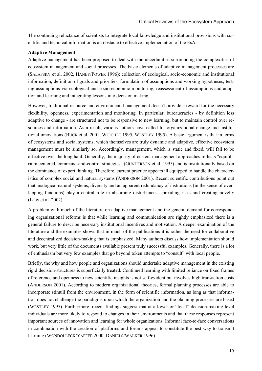The continuing reluctance of scientists to integrate local knowledge and institutional provisions with scientific and technical information is an obstacle to effective implementation of the EsA.

# **Adaptive Management**

Adaptive management has been proposed to deal with the uncertainties surrounding the complexities of ecosystem management and social processes. The basic elements of adaptive management processes are (SALAFSKY et al. 2002, HANEY/POWER 1996): collection of ecological, socio-economic and institutional information, definition of goals and priorities, formulation of assumptions and working hypotheses, testing assumptions via ecological and socio-economic monitoring, reassessment of assumptions and adoption and learning and integrating lessons into decision making.

However, traditional resource and environmental management doesn't provide a reward for the necessary flexibility, openness, experimentation and monitoring. In particular, bureaucracies - by definition less adaptive to change - are structured not to be responsive to new learning, but to maintain control over resources and information. As a result, various authors have called for organizational change and institutional innovations (BUCK et al. 2001, WUICHET 1995, WESTLEY 1995). A basic argument is that in terms of ecosystems and social systems, which themselves are truly dynamic and adaptive, effective ecosystem management must be similarly so. Accordingly, management, which is static and fixed, will fail to be effective over the long haul. Generally, the majority of current management approaches reflects "equilibrium centered, command-and-control strategies" (GUNDERSON et al. 1995) and is institutionally based on the dominance of expert thinking. Therefore, current practice appears ill equipped to handle the characteristics of complex social and natural systems (ANDERSON 2001). Recent scientific contributions point out that analogical natural systems, diversity and an apparent redundancy of institutions (in the sense of overlapping functions) play a central role in absorbing disturbances, spreading risks and creating novelty (LOW et al. 2002).

A problem with much of the literature on adaptive management and the general demand for corresponding organizational reforms is that while learning and communication are rightly emphasized there is a general failure to describe necessary institutional incentives and motivation. A deeper examination of the literature and the examples shows that in much of the publications it is rather the need for collaborative and decentralized decision-making that is emphasized. Many authors discuss how implementation should work, but very little of the documents available present truly successful examples. Generally, there is a lot of enthusiasm but very few examples that go beyond token attempts to "consult" with local people.

Briefly, the why and how people and organizations should undertake adaptive management in the existing rigid decision-structures is superficially treated. Continued learning with limited reliance on fixed frames of reference and openness to new scientific insights is not self-evident but involves high transaction costs (ANDERSON 2001). According to modern organizational theories, formal planning processes are able to incorporate stimuli from the environment, in the form of scientific information, as long as that information does not challenge the paradigms upon which the organization and the planning processes are based (WESTLEY 1995). Furthermore, recent findings suggest that at a lower or "local" decision-making level individuals are more likely to respond to changes in their environments and that these responses represent important sources of innovation and learning for whole organizations. Informal face-to-face conversations in combination with the creation of platforms and forums appear to constitute the best way to transmit learning (WONDOLLECK/YAFFEE 2000, DANIELS/WALKER 1996).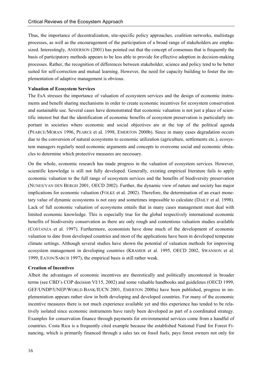Thus, the importance of decentralization, site-specific policy approaches, coalition networks, multistage processes, as well as the encouragement of the participation of a broad range of stakeholders are emphasized. Interestingly, ANDERSON (2001) has pointed out that the concept of consensus that is frequently the basis of participatory methods appears to be less able to provide for effective adoption in decision-making processes. Rather, the recognition of differences between stakeholder, science and policy tend to be better suited for self-correction and mutual learning. However, the need for capacity building to foster the implementation of adaptive management is obvious.

#### **Valuation of Ecosystem Services**

The EsA stresses the importance of valuation of ecosystem services and the design of economic instruments and benefit sharing mechanisms in order to create economic incentives for ecosystem conservation and sustainable use. Several cases have demonstrated that economic valuation is not just a place of scientific interest but that the identification of economic benefits of ecosystem preservation is particularly important in societies where economic and social objectives are at the top of the political agenda (PEARCE/MORAN 1996, PEARCE et al. 1998, EMERTON 2000b). Since in many cases degradation occurs due to the conversion of natural ecosystems to economic utilization (agriculture, settlements etc.), ecosystem managers regularly need economic arguments and concepts to overcome social and economic obstacles to determine which protective measures are necessary.

On the whole, economic research has made progress in the valuation of ecosystem services. However, scientific knowledge is still not fully developed. Generally, existing empirical literature fails to apply economic valuation to the full range of ecosystem services and the benefits of biodiversity preservation (NUNES/VAN DEN BERGH 2001, OECD 2002). Further, the dynamic view of nature and society has major implications for economic valuation (FOLKE et al. 2002). Therefore, the determination of an exact monetary value of dynamic ecosystems is not easy and sometimes impossible to calculate (DAILY et al. 1998). Lack of full economic valuation of ecosystems entails that in many cases management must deal with limited economic knowledge. This is especially true for the global respectively international economic benefits of biodiversity conservation as there are only rough and contentious valuation studies available (COSTANZA et al. 1997). Furthermore, economists have done much of the development of economic valuation to date from developed countries and most of the applications have been in developed temperate climate settings. Although several studies have shown the potential of valuation methods for improving ecosystem management in developing countries (KRAMER et al. 1995, OECD 2002, SWANSON et al. 1999, EATON/SARCH 1997), the empirical basis is still rather weak.

#### **Creation of Incentives**

Albeit the advantages of economic incentives are theoretically and politically uncontested in broader terms (see CBD's COP decision VI/15, 2002) and some valuable handbooks and guidelines (OECD 1999, GEF/UNDP/UNEP/WORLD BANK/IUCN 2001, EMERTON 2000a) have been published, progress in implementation appears rather slow in both developing and developed countries. For many of the economic incentive measures there is not much experience available yet and this experience has tended to be relatively isolated since economic instruments have rarely been developed as part of a coordinated strategy. Examples for conservation finance through payments for environmental services come from a handful of countries. Costa Rica is a frequently cited example because the established National Fund for Forest Financing, which is primarily financed through a sales tax on fossil fuels, pays forest owners not only for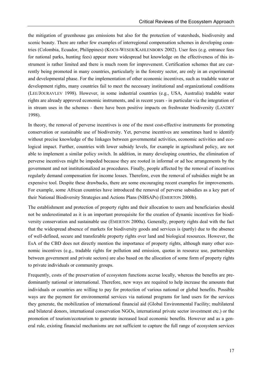the mitigation of greenhouse gas emissions but also for the protection of watersheds, biodiversity and scenic beauty. There are rather few examples of interregional compensation schemes in developing countries (Colombia, Ecuador, Philippines) (KOCH-WESER/KAHLENBORN 2002). User fees (e.g. entrance fees for national parks, hunting fees) appear more widespread but knowledge on the effectiveness of this instrument is rather limited and there is much room for improvement. Certification schemes that are currently being promoted in many countries, particularly in the forestry sector, are only in an experimental and developmental phase. For the implementation of other economic incentives, such as tradable water or development rights, many countries fail to meet the necessary institutional and organizational conditions (LEE/JOURAVLEV 1998). However, in some industrial countries (e.g., USA, Australia) tradable water rights are already approved economic instruments, and in recent years - in particular via the integration of in stream uses in the schemes - there have been positive impacts on freshwater biodiversity (LANDRY 1998).

In theory, the removal of perverse incentives is one of the most cost-effective instruments for promoting conservation or sustainable use of biodiversity. Yet, perverse incentives are sometimes hard to identify without precise knowledge of the linkages between governmental activities, economic activities and ecological impact. Further, countries with lower subsidy levels, for example in agricultural policy, are not able to implement a similar policy switch. In addition, in many developing countries, the elimination of perverse incentives might be impeded because they are rooted in informal or ad hoc arrangements by the government and not institutionalized as procedures. Finally, people affected by the removal of incentives regularly demand compensation for income losses. Therefore, even the removal of subsidies might be an expensive tool. Despite these drawbacks, there are some encouraging recent examples for improvements. For example, some African countries have introduced the removal of perverse subsidies as a key part of their National Biodiversity Strategies and Actions Plans (NBSAPs) (EMERTON 2000b).

The establishment and protection of property rights and their allocation to users and beneficiaries should not be underestimated as it is an important prerequisite for the creation of dynamic incentives for biodiversity conservation and sustainable use (EMERTON 2000a). Generally, property rights deal with the fact that the widespread absence of markets for biodiversity goods and services is (partly) due to the absence of well-defined, secure and transferable property rights over land and biological resources. However, the EsA of the CBD does not directly mention the importance of property rights, although many other economic incentives (e.g., tradable rights for pollution and emission, quotas in resource use, partnerships between government and private sectors) are also based on the allocation of some form of property rights to private individuals or community groups.

Frequently, costs of the preservation of ecosystem functions accrue locally, whereas the benefits are predominantly national or international. Therefore, new ways are required to help increase the amounts that individuals or countries are willing to pay for protection of various national or global benefits. Possible ways are the payment for environmental services via national programs for land users for the services they generate, the mobilization of international financial aid (Global Environmental Facility; multilateral and bilateral donors, international conservation NGOs, international private sector investment etc.) or the promotion of tourism/ecotourism to generate increased local economic benefits. However and as a general rule, existing financial mechanisms are not sufficient to capture the full range of ecosystem services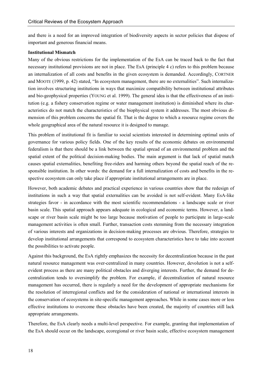and there is a need for an improved integration of biodiversity aspects in sector policies that dispose of important and generous financial means.

#### **Institutional Mismatch**

Many of the obvious restrictions for the implementation of the EsA can be traced back to the fact that necessary institutional provisions are not in place. The EsA (principle 4 c) refers to this problem because an internalization of all costs and benefits in the given ecosystem is demanded. Accordingly, CORTNER and MOOTE (1999, p. 42) stated, "In ecosystem management, there are no externalities". Such internalization involves structuring institutions in ways that maximize compatibility between institutional attributes and bio-geophysical properties (YOUNG et al. 1999). The general idea is that the effectiveness of an institution (e.g. a fishery conservation regime or water management institution) is diminished where its characteristics do not match the characteristics of the biophysical system it addresses. The most obvious dimension of this problem concerns the spatial fit. That is the degree to which a resource regime covers the whole geographical area of the natural resource it is designed to manage.

This problem of institutional fit is familiar to social scientists interested in determining optimal units of governance for various policy fields. One of the key results of the economic debates on environmental federalism is that there should be a link between the spatial spread of an environmental problem and the spatial extent of the political decision-making bodies. The main argument is that lack of spatial match causes spatial externalities, benefiting free-riders and harming others beyond the spatial reach of the responsible institution. In other words: the demand for a full internalization of costs and benefits in the respective ecosystem can only take place if appropriate institutional arrangements are in place.

However, both academic debates and practical experience in various countries show that the redesign of institutions in such a way that spatial externalities can be avoided is not self-evident. Many EsA-like strategies favor - in accordance with the most scientific recommendations - a landscape scale or river basin scale. This spatial approach appears adequate in ecological and economic terms. However, a landscape or river basin scale might be too large because motivation of people to participate in large-scale management activities is often small. Further, transaction costs stemming from the necessary integration of various interests and organizations in decision-making processes are obvious. Therefore, strategies to develop institutional arrangements that correspond to ecosystem characteristics have to take into account the possibilities to activate people.

Against this background, the EsA rightly emphasizes the necessity for decentralization because in the past natural resource management was over-centralized in many countries. However, devolution is not a selfevident process as there are many political obstacles and diverging interests. Further, the demand for decentralization tends to oversimplify the problem. For example, if decentralization of natural resource management has occurred, there is regularly a need for the development of appropriate mechanisms for the resolution of interregional conflicts and for the consideration of national or international interests in the conservation of ecosystems in site-specific management approaches. While in some cases more or less effective institutions to overcome these obstacles have been created, the majority of countries still lack appropriate arrangements.

Therefore, the EsA clearly needs a multi-level perspective. For example, granting that implementation of the EsA should occur on the landscape, ecoregional or river basin scale, effective ecosystem management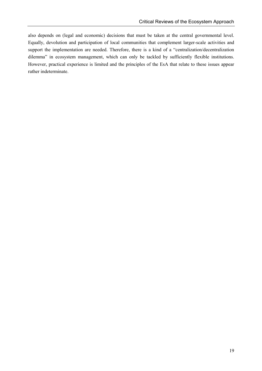also depends on (legal and economic) decisions that must be taken at the central governmental level. Equally, devolution and participation of local communities that complement larger-scale activities and support the implementation are needed. Therefore, there is a kind of a "centralization/decentralization dilemma" in ecosystem management, which can only be tackled by sufficiently flexible institutions. However, practical experience is limited and the principles of the EsA that relate to these issues appear rather indeterminate.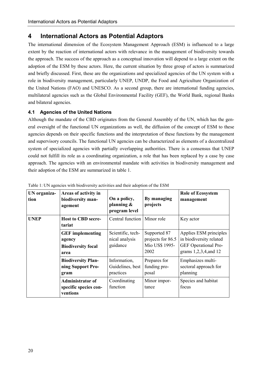# **4 International Actors as Potential Adaptors**

The international dimension of the Ecosystem Management Approach (ESM) is influenced to a large extent by the reaction of international actors with relevance in the management of biodiversity towards the approach. The success of the approach as a conceptual innovation will depend to a large extent on the adoption of the ESM by these actors. Here, the current situation by three group of actors is summarized and briefly discussed. First, these are the organizations and specialized agencies of the UN system with a role in biodiversity management, particularly UNEP, UNDP, the Food and Agriculture Organization of the United Nations (FAO) and UNESCO. As a second group, there are international funding agencies, multilateral agencies such as the Global Environmental Facility (GEF), the World Bank, regional Banks and bilateral agencies.

## **4.1 Agencies of the United Nations**

Although the mandate of the CBD originates from the General Assembly of the UN, which has the general oversight of the functional UN organizations as well, the diffusion of the concept of ESM to these agencies depends on their specific functions and the interpretation of these functions by the management and supervisory councils. The functional UN agencies can be characterized as elements of a decentralized system of specialized agencies with partially overlapping authorities. There is a consensus that UNEP could not fulfill its role as a coordinating organization, a role that has been replaced by a case by case approach. The agencies with an environmental mandate with activities in biodiversity management and their adoption of the ESM are summarized in table 1.

| UN organiza-<br>tion | Areas of activity in<br>biodiversity man-<br>agement                   | On a policy,<br>planning $\&$<br>program level  | By managing<br>projects                                     | <b>Role of Ecosystem</b><br>management                                                             |
|----------------------|------------------------------------------------------------------------|-------------------------------------------------|-------------------------------------------------------------|----------------------------------------------------------------------------------------------------|
| <b>UNEP</b>          | <b>Host to CBD secre-</b><br>tariat                                    | Central function                                | Minor role                                                  | Key actor                                                                                          |
|                      | <b>GEF</b> implementing<br>agency<br><b>Biodiversity focal</b><br>area | Scientific, tech-<br>nical analysis<br>guidance | Supported 87<br>projects for 86.5<br>Mio US\$ 1995-<br>2002 | Applies ESM principles<br>in biodiversity related<br>GEF Operational Pro-<br>grams 1,2,3,4, and 12 |
|                      | <b>Biodiversity Plan-</b><br>ning Support Pro-<br>gram                 | Information,<br>Guidelines, best<br>practices   | Prepares for<br>funding pro-<br>posal                       | Emphasizes multi-<br>sectoral approach for<br>planning                                             |
|                      | <b>Administrator of</b><br>specific species con-<br>ventions           | Coordinating<br>function                        | Minor impor-<br>tance                                       | Species and habitat<br>focus                                                                       |

Table 1: UN agencies with biodiversity activities and their adoption of the ESM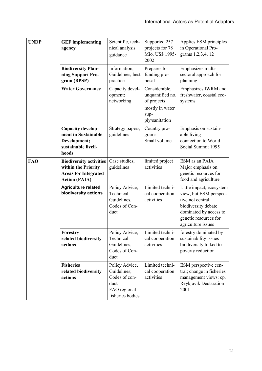| <b>UNDP</b> | <b>GEF</b> implementing<br>agency                                                                            | Scientific, tech-<br>nical analysis<br>guidance                                            | Supported 257<br>projects for 78<br>Mio. US\$ 1995-<br>2002                                   | Applies ESM principles<br>in Operational Pro-<br>grams 1,2,3,4, 12                                                                                                      |
|-------------|--------------------------------------------------------------------------------------------------------------|--------------------------------------------------------------------------------------------|-----------------------------------------------------------------------------------------------|-------------------------------------------------------------------------------------------------------------------------------------------------------------------------|
|             | <b>Biodiversity Plan-</b><br>ning Support Pro-<br>gram (BPSP)                                                | Information,<br>Guidelines, best<br>practices                                              | Prepares for<br>funding pro-<br>posal                                                         | Emphasizes multi-<br>sectoral approach for<br>planning                                                                                                                  |
|             | <b>Water Governance</b>                                                                                      | Capacity devel-<br>opment;<br>networking                                                   | Considerable,<br>unquantified no.<br>of projects<br>mostly in water<br>sup-<br>ply/sanitation | Emphasizes IWRM and<br>freshwater, coastal eco-<br>systems                                                                                                              |
|             | Capacity develop-<br>ment in Sustainable<br>Development;<br>sustainable liveli-<br>hoods                     | Strategy papers,<br>guidelines                                                             | Country pro-<br>grams<br>Small volume                                                         | Emphasis on sustain-<br>able living<br>connection to World<br>Social Summit 1995                                                                                        |
| <b>FAO</b>  | <b>Biodiversity activities</b><br>within the Priority<br><b>Areas for Integrated</b><br><b>Action (PAIA)</b> | Case studies;<br>guidelines                                                                | limited project<br>activities                                                                 | ESM as an PAIA<br>Major emphasis on<br>genetic resources for<br>food and agriculture                                                                                    |
|             | <b>Agriculture related</b><br>biodiversity actions                                                           | Policy Advice,<br>Technical<br>Guidelines,<br>Codes of Con-<br>duct                        | Limited techni-<br>cal cooperation<br>activities                                              | Little impact, ecosystem<br>view, but ESM perspec-<br>tive not central;<br>biodiversity debate<br>dominated by access to<br>genetic resources for<br>agriculture issues |
|             | Forestry<br>related biodiversity<br>actions                                                                  | Policy Advice,<br>Technical<br>Guidelines,<br>Codes of Con-<br>duct                        | Limited techni-<br>cal cooperation<br>activities                                              | forestry dominated by<br>sustainability issues<br>biodiversity linked to<br>poverty reduction                                                                           |
|             | <b>Fisheries</b><br>related biodiversity<br>actions                                                          | Policy Advice,<br>Guidelines;<br>Codes of con-<br>duct<br>FAO regional<br>fisheries bodies | Limited techni-<br>cal cooperation<br>activities                                              | ESM perspective cen-<br>tral; change in fisheries<br>management views: cp.<br>Reykjavik Declaration<br>2001                                                             |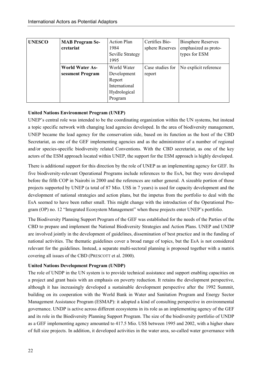| <b>UNESCO</b> | <b>MAB Program Se-</b><br>cretariat | <b>Action Plan</b><br>1984<br><b>Seville Strategy</b><br>1995 | Certifies Bio-<br>sphere Reserves | <b>Biosphere Reserves</b><br>emphasized as proto-<br>types for ESM |
|---------------|-------------------------------------|---------------------------------------------------------------|-----------------------------------|--------------------------------------------------------------------|
|               | <b>World Water As-</b>              | World Water                                                   | Case studies for                  | No explicit reference                                              |
|               | sessment Program                    | Development                                                   | report                            |                                                                    |
|               |                                     | Report                                                        |                                   |                                                                    |
|               |                                     | International                                                 |                                   |                                                                    |
|               |                                     | Hydrological                                                  |                                   |                                                                    |
|               |                                     | Program                                                       |                                   |                                                                    |

## **United Nations Environment Program (UNEP)**

UNEP's central role was intended to be the coordinating organization within the UN systems, but instead a topic specific network with changing lead agencies developed. In the area of biodiversity management, UNEP became the lead agency for the conservation side, based on its function as the host of the CBD Secretariat, as one of the GEF implementing agencies and as the administrator of a number of regional and/or species-specific biodiversity related Conventions. With the CBD secretariat, as one of the key actors of the ESM approach located within UNEP, the support for the ESM approach is highly developed.

There is additional support for this direction by the role of UNEP as an implementing agency for GEF. Its five biodiversity-relevant Operational Programs include references to the EsA, but they were developed before the fifth COP in Nairobi in 2000 and the references are rather general. A sizeable portion of those projects supported by UNEP (a total of 87 Mio. US\$ in 7 years) is used for capacity development and the development of national strategies and action plans, but the impetus from the portfolio to deal with the EsA seemed to have been rather small. This might change with the introduction of the Operational Program (OP) no. 12 "Integrated Ecosystem Management" when these projects enter UNEP's portfolio.

The Biodiversity Planning Support Program of the GEF was established for the needs of the Parties of the CBD to prepare and implement the National Biodiversity Strategies and Action Plans. UNEP and UNDP are involved jointly in the development of guidelines, dissemination of best practice and in the funding of national activities. The thematic guidelines cover a broad range of topics, but the EsA is not considered relevant for the guidelines. Instead, a separate multi-sectoral planning is proposed together with a matrix covering all issues of the CBD (PRESCOTT et al. 2000).

# **United Nations Development Program (UNDP)**

The role of UNDP in the UN system is to provide technical assistance and support enabling capacities on a project and grant basis with an emphasis on poverty reduction. It retains the development perspective, although it has increasingly developed a sustainable development perspective after the 1992 Summit, building on its cooperation with the World Bank in Water and Sanitation Program and Energy Sector Management Assistance Program (ESMAP): it adopted a kind of consulting perspective in environmental governance. UNDP is active across different ecosystems in its role as an implementing agency of the GEF and its role in the Biodiversity Planning Support Program. The size of the biodiversity portfolio of UNDP as a GEF implementing agency amounted to 417.5 Mio. US\$ between 1995 and 2002, with a higher share of full size projects. In addition, it developed activities in the water area, so-called water governance with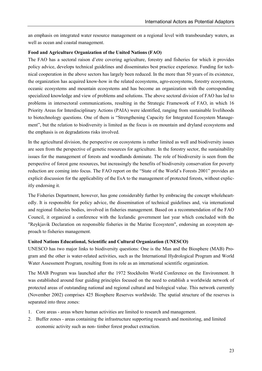an emphasis on integrated water resource management on a regional level with transboundary waters, as well as ocean and coastal management.

#### **Food and Agriculture Organization of the United Nations (FAO)**

The FAO has a sectoral raison d'etre covering agriculture, forestry and fisheries for which it provides policy advice, develops technical guidelines and disseminates best practice experience. Funding for technical cooperation in the above sectors has largely been reduced. In the more than 50 years of its existence, the organization has acquired know-how in the related ecosystems, agro-ecosystems, forestry ecosystems, oceanic ecosystems and mountain ecosystems and has become an organization with the corresponding specialized knowledge and view of problems and solutions. The above sectoral division of FAO has led to problems in intersectoral communications, resulting in the Strategic Framework of FAO, in which 16 Priority Areas for Interdisciplinary Actions (PAIA) were identified, ranging from sustainable livelihoods to biotechnology questions. One of them is "Strengthening Capacity for Integrated Ecosystem Management", but the relation to biodiversity is limited as the focus is on mountain and dryland ecosystems and the emphasis is on degradations risks involved.

In the agricultural division, the perspective on ecosystems is rather limited as well and biodiversity issues are seen from the perspective of genetic resources for agriculture. In the forestry sector, the sustainability issues for the management of forests and woodlands dominate. The role of biodiversity is seen from the perspective of forest gene resources, but increasingly the benefits of biodiversity conservation for poverty reduction are coming into focus. The FAO report on the "State of the World's Forests 2001" provides an explicit discussion for the applicability of the EsA to the management of protected forests, without explicitly endorsing it.

The Fisheries Department, however, has gone considerably further by embracing the concept wholeheartedly. It is responsible for policy advice, the dissemination of technical guidelines and, via international and regional fisheries bodies, involved in fisheries management. Based on a recommendation of the FAO Council, it organized a conference with the Icelandic government last year which concluded with the "Reykjavik Declaration on responsible fisheries in the Marine Ecosystem", endorsing an ecosystem approach to fisheries management.

## **United Nations Educational, Scientific and Cultural Organization (UNESCO)**

UNESCO has two major links to biodiversity questions: One is the Man and the Biosphere (MAB) Program and the other is water-related activities, such as the International Hydrological Program and World Water Assessment Program, resulting from its role as an international scientific organization.

The MAB Program was launched after the 1972 Stockholm World Conference on the Environment. It was established around four guiding principles focused on the need to establish a worldwide network of protected areas of outstanding national and regional cultural and biological value. This network currently (November 2002) comprises 425 Biosphere Reserves worldwide. The spatial structure of the reserves is separated into three zones:

- 1. Core areas areas where human activities are limited to research and management.
- 2. Buffer zones areas containing the infrastructure supporting research and monitoring, and limited economic activity such as non- timber forest product extraction.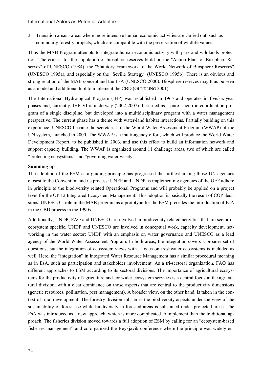3. Transition areas - areas where more intensive human economic activities are carried out, such as community forestry projects, which are compatible with the preservation of wildlife values.

Thus the MAB Program attempts to integrate human economic activity with park and wildlands protection. The criteria for the stipulation of biosphere reserves build on the "Action Plan for Biosphere Reserves" of UNESCO (1984), the "Statutory Framework of the World Network of Biosphere Reserves" (UNESCO 1995a), and especially on the "Seville Strategy" (UNESCO 1995b). There is an obvious and strong relation of the MAB concept and the EsA (UNESCO 2000). Biosphere reserves may thus be seen as a model and additional tool to implement the CBD (GÜNDLING 2001).

The International Hydrological Program (IHP) was established in 1965 and operates in five/six-year phases and, currently, IHP VI is underway (2002-2007). It started as a pure scientific coordination program of a single discipline, but developed into a multidisciplinary program with a water management perspective. The current phase has a theme with water-land habitat interactions. Partially building on this experience, UNESCO became the secretariat of the World Water Assessment Program (WWAP) of the UN system, launched in 2000. The WWAP is a multi-agency effort, which will produce the World Water Development Report, to be published in 2003, and use this effort to build an information network and support capacity building. The WWAP is organized around 11 challenge areas, two of which are called "protecting ecosystems" and "governing water wisely".

#### **Summing up**

The adoption of the ESM as a guiding principle has progressed the furthest among those UN agencies closest to the Convention and its process: UNEP and UNDP as implementing agencies of the GEF adhere in principle to the biodiversity related Operational Programs and will probably be applied on a project level for the OP 12 Integrated Ecosystem Management. This adoption is basically the result of COP decisions. UNESCO's role in the MAB program as a prototype for the ESM precedes the introduction of EsA in the CBD process in the 1990s.

Additionally, UNDP, FAO and UNESCO are involved in biodiversity related activities that are sector or ecosystem specific. UNDP and UNESCO are involved in conceptual work, capacity development, networking in the water sector: UNDP with an emphasis on water governance and UNESCO as a lead agency of the World Water Assessment Program. In both areas, the integration covers a broader set of questions, but the integration of ecosystem views with a focus on freshwater ecosystems is included as well. Here, the "integration" in Integrated Water Resource Management has a similar procedural meaning as in EsA, such as participation and stakeholder involvement. As a tri-sectoral organization, FAO has different approaches to ESM according to its sectoral divisions. The importance of agricultural ecosystems for the productivity of agriculture and for wider ecosystem services is a central focus in the agricultural division, with a clear dominance on those aspects that are central to the productivity dimensions (genetic resources, pollination, pest management). A broader view, on the other hand, is taken in the context of rural development. The forestry division subsumes the biodiversity aspects under the view of the sustainability of forest use while biodiversity in forested areas is subsumed under protected areas. The EsA was introduced as a new approach, which is more complicated to implement than the traditional approach. The fisheries division moved towards a full adoption of ESM by calling for an "ecosystem-based fisheries management" and co-organized the Reykjavik conference where the principle was widely en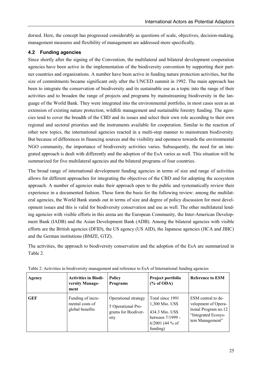dorsed. Here, the concept has progressed considerably as questions of scale, objectives, decision-making, management measures and flexibility of management are addressed more specifically.

# **4.2 Funding agencies**

Since shortly after the signing of the Convention, the multilateral and bilateral development cooperation agencies have been active in the implementation of the biodiversity convention by supporting their partner countries and organizations. A number have been active in funding nature protection activities, but the size of commitments became significant only after the UNCED summit in 1992. The main approach has been to integrate the conservation of biodiversity and its sustainable use as a topic into the range of their activities and to broaden the range of projects and programs by mainstreaming biodiversity in the language of the World Bank. They were integrated into the environmental portfolio, in most cases seen as an extension of existing nature protection, wildlife management and sustainable forestry funding. The agencies tend to cover the breadth of the CBD and its issues and select their own role according to their own regional and sectoral priorities and the instruments available for cooperation. Similar to the reaction of other new topics, the international agencies reacted in a multi-step manner to mainstream biodiversity. But because of differences in financing sources and the visibility and openness towards the environmental NGO community, the importance of biodiversity activities varies. Subsequently, the need for an integrated approach is dealt with differently and the adoption of the EsA varies as well. This situation will be summarized for five multilateral agencies and the bilateral programs of four countries.

The broad range of international development funding agencies in terms of size and range of activities allows for different approaches for integrating the objectives of the CBD and for adopting the ecosystem approach. A number of agencies make their approach open to the public and systematically review their experience in a documented fashion. These form the basis for the following review: among the multilateral agencies, the World Bank stands out in terms of size and degree of policy discussion for most development issues and this is valid for biodiversity conservation and use as well. The other multilateral lending agencies with visible efforts in this arena are the European Community, the Inter-American Development Bank (IADB) and the Asian Development Bank (ADB). Among the bilateral agencies with visible efforts are the British agencies (DFID), the US agency (US AID), the Japanese agencies (JICA and JBIC) and the German institutions (BMZE, GTZ).

The activities, the approach to biodiversity conservation and the adoption of the EsA are summarized in Table 2.

| Agency     | <b>Activities in Biodi-</b><br>versity Manage-          | <b>Policy</b><br><b>Programs</b>                                          | Project portfolio<br>$(\%$ of ODA)                                                                          | <b>Reference to ESM</b>                                                                                     |
|------------|---------------------------------------------------------|---------------------------------------------------------------------------|-------------------------------------------------------------------------------------------------------------|-------------------------------------------------------------------------------------------------------------|
|            | ment                                                    |                                                                           |                                                                                                             |                                                                                                             |
| <b>GEF</b> | Funding of incre-<br>mental costs of<br>global benefits | Operational strategy<br>5 Operational Pro-<br>grams for Biodiver-<br>sity | Total since 1991<br>1,300 Mio. US\$<br>434.3 Mio. US\$<br>between 7/1999 -<br>$6/2001$ (44 % of<br>funding) | ESM central to de-<br>velopment of Opera-<br>tional Program no.12<br>"Integrated Ecosys-<br>tem Management" |

Table 2: Activities in biodiversity management and reference to EsA of International funding agencies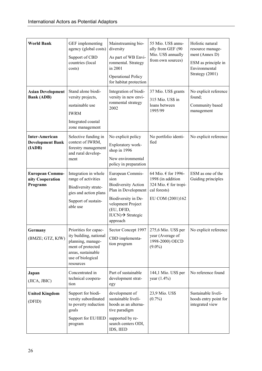| <b>World Bank</b>                                          | GEF implementing<br>agency (global costs)<br>Support of CBD<br>countries (local<br>costs)                                                         | Mainstreaming bio-<br>diversity<br>As part of WB Envi-<br>ronmental. Strategy<br>in 2001<br><b>Operational Policy</b><br>for habitat protection                                      | 55 Mio. US\$ annu-<br>ally from GEF (90<br>Mio. US\$ annually<br>from own sources)                    | Holistic natural<br>resource manage-<br>ment (Annex D)<br>ESM as principle in<br>Environmental<br>Strategy (2001) |
|------------------------------------------------------------|---------------------------------------------------------------------------------------------------------------------------------------------------|--------------------------------------------------------------------------------------------------------------------------------------------------------------------------------------|-------------------------------------------------------------------------------------------------------|-------------------------------------------------------------------------------------------------------------------|
| <b>Asian Development</b><br><b>Bank (ADB)</b>              | Stand alone biodi-<br>versity projects,<br>sustainable use<br><b>IWRM</b><br>Integrated coastal<br>zone management                                | Integration of biodi-<br>versity in new envi-<br>ronmental strategy<br>2002                                                                                                          | 37 Mio. US\$ grants<br>315 Mio. US\$ in<br>loans between<br>1995/99                                   | No explicit reference<br>found;<br>Community based<br>management                                                  |
| <b>Inter-American</b><br><b>Development Bank</b><br>(IADB) | Selective funding in<br>context of IWRM,<br>forestry management<br>and rural develop-<br>ment                                                     | No explicit policy<br>Exploratory work-<br>shop in 1996<br>New environmental<br>policy in preparation                                                                                | No portfolio identi-<br>fied                                                                          | No explicit reference                                                                                             |
| <b>European Commu-</b><br>nity Cooperation<br>Programs     | Integration in whole<br>range of activities<br>Biodiversity strate-<br>gies and action plans<br>Support of sustain-<br>able use                   | European Commis-<br>sion<br><b>Biodiversity Action</b><br>Plan in Development<br>Biodiversity in De-<br>velopment Project<br>(EU, DFID,<br>$IUCN) \rightarrow$ Strategic<br>approach | 64 Mio. € for 1996-<br>1998 (in addition<br>324 Mio. € for tropi-<br>cal forests)<br>EU COM (2001)162 | ESM as one of the<br>Guiding principles                                                                           |
| Germany<br>(BMZE; GTZ, KfW)                                | Priorities for capac-<br>ity building, national<br>planning, manage-<br>ment of protected<br>areas, sustainable<br>use of biological<br>resources | Sector Concept 1997<br>CBD implementa-<br>tion program                                                                                                                               | 275,6 Mio. US\$ per<br>year (Average of<br>1998-2000) OECD<br>$(9.0\%)$                               | No explicit reference                                                                                             |
| Japan<br>(JICA, JBIC)                                      | Concentrated in<br>technical coopera-<br>tion                                                                                                     | Part of sustainable<br>development strat-<br>egy                                                                                                                                     | 144,1 Mio. US\$ per<br>year $(1.4\%)$                                                                 | No reference found                                                                                                |
| <b>United Kingdom</b><br>(DFID)                            | Support for biodi-<br>versity subordinated<br>to poverty reduction<br>goals<br>Support for EU/IIED<br>program                                     | development of<br>sustainable liveli-<br>hoods as an alterna-<br>tive paradigm<br>supported by re-<br>search centers ODI,<br>IDS, IIED                                               | 23,9 Mio. US\$<br>$(0.7\%)$                                                                           | Sustainable liveli-<br>hoods entry point for<br>integrated view                                                   |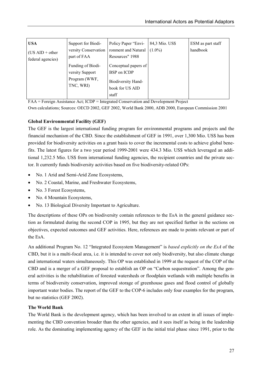| <b>USA</b><br>$(US AID + other)$<br>federal agencies) | Support for Biodi-<br>versity Conservation<br>part of FAA          | Policy Paper "Envi-<br>ronment and Natural<br>Resources" 1988                                | 84,3 Mio. US\$<br>$(1.0\%)$ | ESM as part staff<br>handbook |
|-------------------------------------------------------|--------------------------------------------------------------------|----------------------------------------------------------------------------------------------|-----------------------------|-------------------------------|
|                                                       | Funding of Biodi-<br>versity Support<br>Program (WWF,<br>TNC, WRI) | Conceptual papers of<br>BSP on ICDP<br><b>Biodiversity Hand-</b><br>book for US AID<br>staff |                             |                               |

FAA = Foreign Assistance Act; ICDP = Integrated Conservation and Development Project

Own calculations; Sources: OECD 2002, GEF 2002, World Bank 2000, ADB 2000, European Commission 2001

# **Global Environmental Facility (GEF)**

The GEF is the largest international funding program for environmental programs and projects and the financial mechanism of the CBD. Since the establishment of GEF in 1991, over 1,300 Mio. US\$ has been provided for biodiversity activities on a grant basis to cover the incremental costs to achieve global benefits. The latest figures for a two year period 1999-2001 were 434.3 Mio. US\$ which leveraged an additional 1,232.5 Mio. US\$ from international funding agencies, the recipient countries and the private sector. It currently funds biodiversity activities based on five biodiversity-related OPs:

- -No. 1 Arid and Semi-Arid Zone Ecosystems,
- $\bullet$ No. 2 Coastal, Marine, and Freshwater Ecosystems,
- No. 3 Forest Ecosystems,
- No. 4 Mountain Ecosystems,
- $\bullet$ No. 13 Biological Diversity Important to Agriculture.

The descriptions of these OPs on biodiversity contain references to the EsA in the general guidance section as formulated during the second COP in 1995, but they are not specified further in the sections on objectives, expected outcomes and GEF activities. Here, references are made to points relevant or part of the EsA.

An additional Program No. 12 "Integrated Ecosystem Management" is *based explicitly on the EsA* of the CBD, but it is a multi-focal area, i.e. it is intended to cover not only biodiversity, but also climate change and international waters simultaneously. This OP was established in 1999 at the request of the COP of the CBD and is a merger of a GEF proposal to establish an OP on "Carbon sequestration". Among the general activities is the rehabilitation of forested watersheds or floodplain wetlands with multiple benefits in terms of biodiversity conservation, improved storage of greenhouse gases and flood control of globally important water bodies. The report of the GEF to the COP-6 includes only four examples for the program, but no statistics (GEF 2002).

# **The World Bank**

The World Bank is the development agency, which has been involved to an extent in all issues of implementing the CBD convention broader than the other agencies, and it sees itself as being in the leadership role. As the dominating implementing agency of the GEF in the initial trial phase since 1991, prior to the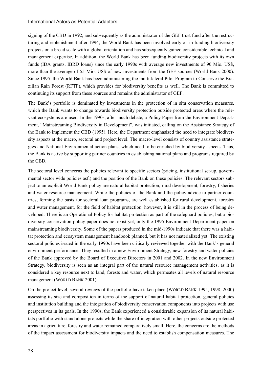signing of the CBD in 1992, and subsequently as the administrator of the GEF trust fund after the restructuring and replenishment after 1994, the World Bank has been involved early on in funding biodiversity projects on a broad scale with a global orientation and has subsequently gained considerable technical and management expertise. In addition, the World Bank has been funding biodiversity projects with its own funds (IDA grants, IBRD loans) since the early 1990s with average new investments of 90 Mio. US\$, more than the average of 55 Mio. US\$ of new investments from the GEF sources (World Bank 2000). Since 1995, the World Bank has been administering the multi-lateral Pilot Program to Conserve the Brazilian Rain Forest (RFTF), which provides for biodiversity benefits as well. The Bank is committed to continuing its support from these sources and remains the administrator of GEF.

The Bank's portfolio is dominated by investments in the protection of in situ conservation measures, which the Bank wants to change towards biodiversity protection outside protected areas where the relevant ecosystems are used. In the 1990s, after much debate, a Policy Paper from the Environment Department, "Mainstreaming Biodiversity in Development", was initiated, calling on the Assistance Strategy of the Bank to implement the CBD (1995). Here, the Department emphasized the need to integrate biodiversity aspects at the macro, sectoral and project level. The macro-level consists of country assistance strategies and National Environmental action plans, which need to be enriched by biodiversity aspects. Thus, the Bank is active by supporting partner countries in establishing national plans and programs required by the CBD.

The sectoral level concerns the policies relevant to specific sectors (pricing, institutional set-up, governmental sector wide policies asf.) and the position of the Bank on these policies. The relevant sectors subject to an explicit World Bank policy are natural habitat protection, rural development, forestry, fisheries and water resource management. While the policies of the Bank and the policy advice to partner countries, forming the basis for sectoral loan programs, are well established for rural development, forestry and water management, for the field of habitat protection, however, it is still in the process of being developed. There is an Operational Policy for habitat protection as part of the safeguard policies, but a biodiversity conservation policy paper does not exist yet, only the 1995 Environment Department paper on mainstreaming biodiversity. Some of the papers produced in the mid-1990s indicate that there was a habitat protection and ecosystem management handbook planned, but it has not materialized yet. The existing sectoral policies issued in the early 1990s have been critically reviewed together with the Bank's general environment performance. They resulted in a new Environment Strategy, new forestry and water policies of the Bank approved by the Board of Executive Directors in 2001 and 2002. In the new Environment Strategy, biodiversity is seen as an integral part of the natural resource management activities, as it is considered a key resource next to land, forests and water, which permeates all levels of natural resource management (WORLD BANK 2001).

On the project level, several reviews of the portfolio have taken place (WORLD BANK 1995, 1998, 2000) assessing its size and composition in terms of the support of natural habitat protection, general policies and institution building and the integration of biodiversity conservation components into projects with use perspectives in its goals. In the 1990s, the Bank experienced a considerable expansion of its natural habitats portfolio with stand alone projects while the share of integration with other projects outside protected areas in agriculture, forestry and water remained comparatively small. Here, the concerns are the methods of the impact assessment for biodiversity impacts and the need to establish compensation measures. The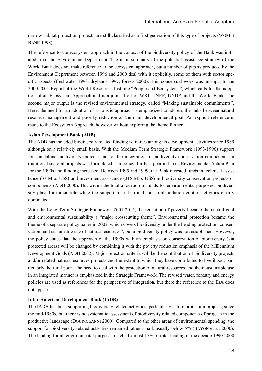narrow habitat protection projects are still classified as a first generation of this type of projects (WORLD BANK 1998).

The reference to the ecosystem approach in the context of the biodiversity policy of the Bank was initiated from the Environment Department. The main summary of the potential assistance strategy of the World Bank does not make reference to the ecosystem approach, but a number of papers produced by the Environment Department between 1996 and 2000 deal with it explicitly, some of them with sector specific aspects (freshwater 1998, drylands 1997, forests 2000). This conceptual work was an input to the 2000-2001 Report of the World Resources Institute "People and Ecosystems", which calls for the adoption of an Ecosystem Approach and is a joint effort of WRI, UNEP, UNDP and the World Bank. The second major output is the revised environmental strategy, called "Making sustainable commitments". Here, the need for an adoption of a holistic approach is emphasized to address the links between natural resource management and poverty reduction as the main developmental goal. An explicit reference is made to the Ecosystem Approach, however without exploring the theme further.

#### **Asian Development Bank (ADB)**

The ADB has included biodiversity related funding activities among its development activities since 1989 although on a relatively small basis. With the Medium Term Strategic Framework (1993-1996) support for standalone biodiversity projects and for the integration of biodiversity conservation components in traditional sectoral projects was formulated as a policy, further specified in its Environmental Action Plan for the 1990s and funding increased. Between 1995 and 1999, the Bank invested funds in technical assistance (37 Mio. US\$) and investment assistance (315 Mio. US\$) in biodiversity conservation projects or components (ADB 2000). But within the total allocation of funds for environmental purposes, biodiversity played a minor role while the support for urban and industrial pollution control activities clearly dominated.

With the Long Term Strategic Framework 2001-2015, the reduction of poverty became the central goal and environmental sustainability a "major crosscutting theme". Environmental protection became the theme of a separate policy paper in 2002, which covers biodiversity under the heading protection, conservation, and sustainable use of natural resources", but a biodiversity policy was not established. However, the policy states that the approach of the 1990s with an emphasis on conservation of biodiversity (via protected areas) will be changed by combining it with the poverty reduction emphasis of the Millennium Development Goals (ADB 2002). Major selection criteria will be the contribution of biodiversity projects and/or related natural resources projects and the extent to which they have contributed to livelihood, particularly the rural poor. The need to deal with the protection of natural resources and their sustainable use in an integrated manner is emphasized in the Strategic Framework. The revised water, forestry and energy policies are used as references for the perspective of integration, but there the reference to the EsA does not appear.

#### **Inter-American Development Bank (IADB)**

The IADB has been supporting biodiversity related activities, particularly nature protection projects, since the mid-1980s, but there is no systematic assessment of biodiversity related components of projects in the productive landscape (DOUROJEANNI 2000). Compared to the other areas of environmental spending, the support for biodiversity related activities remained rather small, usually below 5% (BAYON et al. 2000). The lending for all environmental purposes reached almost 15% of total lending in the decade 1990-2000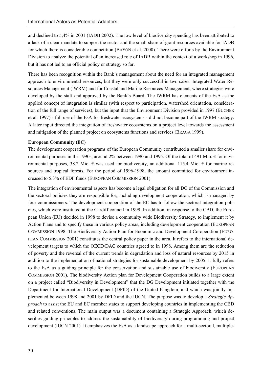and declined to 5,4% in 2001 (IADB 2002). The low level of biodiversity spending has been attributed to a lack of a clear mandate to support the sector and the small share of grant resources available for IADB for which there is considerable competition (BAYON et al. 2000). There were efforts by the Environment Division to analyze the potential of an increased role of IADB within the context of a workshop in 1996, but it has not led to an official policy or strategy so far.

There has been recognition within the Bank's management about the need for an integrated management approach to environmental resources, but they were only successful in two cases: Integrated Water Resources Management (IWRM) and for Coastal and Marine Resources Management, where strategies were developed by the staff and approved by the Bank's Board. The IWRM has elements of the EsA as the applied concept of integration is similar (with respect to participation, watershed orientation, consideration of the full range of services), but the input that the Environment Division provided in 1997 (BUCHER et al. 1997) - full use of the EsA for freshwater ecosystems - did not become part of the IWRM strategy. A later input directed the integration of freshwater ecosystems on a project level towards the assessment and mitigation of the planned project on ecosystems functions and services (BRAGA 1999).

#### **European Community (EC)**

The development cooperation programs of the European Community contributed a smaller share for environmental purposes in the 1990s, around 2% between 1990 and 1995. Of the total of 491 Mio.  $\epsilon$  for environmental purposes, 38.2 Mio.  $\epsilon$  was used for biodiversity, an additional 115.4 Mio.  $\epsilon$  for marine resources and tropical forests. For the period of 1996-1998, the amount committed for environment increased to 5.3% of EDF funds (EUROPEAN COMMISSION 2001).

The integration of environmental aspects has become a legal obligation for all DG of the Commission and the sectoral policies they are responsible for, including development cooperation, which is managed by four commissioners. The development cooperation of the EC has to follow the sectoral integration policies, which were instituted at the Cardiff council in 1999. In addition, in response to the CBD, the European Union (EU) decided in 1998 to devise a community wide Biodiversity Strategy, to implement it by Action Plans and to specify these in various policy areas, including development cooperation (EUROPEAN COMMISSION 1998. The Biodiversity Action Plan for Economic and Development Co-operation (EURO-PEAN COMMISSION 2001) constitutes the central policy paper in the area. It refers to the international development targets to which the OECD/DAC countries agreed to in 1998. Among them are the reduction of poverty and the reversal of the current trends in degradation and loss of natural resources by 2015 in addition to the implementation of national strategies for sustainable development by 2005. It fully refers to the EsA as a guiding principle for the conservation and sustainable use of biodiversity (EUROPEAN COMMISSION 2001). The biodiversity Action plan for Development Cooperation builds to a large extent on a project called "Biodiversity in Development" that the DG Development initiated together with the Department for International Development (DFID) of the United Kingdom, and which was jointly implemented between 1998 and 2001 by DFID and the IUCN. The purpose was to develop a *Strategic Approach* to assist the EU and EC member states to support developing countries in implementing the CBD and related conventions. The main output was a document containing a Strategic Approach, which describes guiding principles to address the sustainability of biodiversity during programming and project development (IUCN 2001). It emphasizes the EsA as a landscape approach for a multi-sectoral, multiple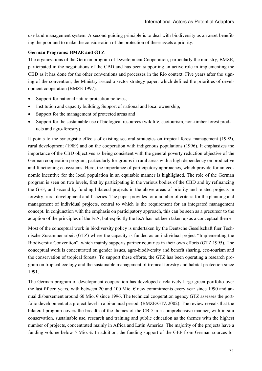use land management system. A second guiding principle is to deal with biodiversity as an asset benefiting the poor and to make the consideration of the protection of these assets a priority.

# **German Programs: BMZE and GTZ**

The organizations of the German program of Development Cooperation, particularly the ministry, BMZE, participated in the negotiations of the CBD and has been supporting an active role in implementing the CBD as it has done for the other conventions and processes in the Rio context. Five years after the signing of the convention, the Ministry issued a sector strategy paper, which defined the priorities of development cooperation (BMZE 1997):

- -Support for national nature protection policies,
- $\bullet$ Institution and capacity building, Support of national and local ownership,
- -Support for the management of protected areas and
- - Support for the sustainable use of biological resources (wildlife, ecotourism, non-timber forest products and agro-forestry).

It points to the synergistic effects of existing sectoral strategies on tropical forest management (1992), rural development (1989) and on the cooperation with indigenous populations (1996). It emphasizes the importance of the CBD objectives as being consistent with the general poverty reduction objective of the German cooperation program, particularly for groups in rural areas with a high dependency on productive and functioning ecosystems. Here, the importance of participatory approaches, which provide for an economic incentive for the local population in an equitable manner is highlighted. The role of the German program is seen on two levels, first by participating in the various bodies of the CBD and by refinancing the GEF, and second by funding bilateral projects in the above areas of priority and related projects in forestry, rural development and fisheries. The paper provides for a number of criteria for the planning and management of individual projects, central to which is the requirement for an integrated management concept. In conjunction with the emphasis on participatory approach, this can be seen as a precursor to the adoption of the principles of the EsA, but explicitly the EsA has not been taken up as a conceptual theme.

Most of the conceptual work in biodiversity policy is undertaken by the Deutsche Gesellschaft fuer Technische Zusammenarbeit (GTZ) where the capacity is funded as an individual project "Implementing the Biodiversity Convention", which mainly supports partner countries in their own efforts (GTZ 1995). The conceptual work is concentrated on gender issues, agro-biodiversity and benefit sharing, eco-tourism and the conservation of tropical forests. To support these efforts, the GTZ has been operating a research program on tropical ecology and the sustainable management of tropical forestry and habitat protection since 1991.

The German program of development cooperation has developed a relatively large green portfolio over the last fifteen years, with between 20 and 100 Mio.  $\epsilon$  new commitments every year since 1990 and annual disbursement around 60 Mio. € since 1996. The technical cooperation agency GTZ assesses the portfolio development at a project level in a bi-annual period. (BMZE/GTZ 2002). The review reveals that the bilateral program covers the breadth of the themes of the CBD in a comprehensive manner, with in-situ conservation, sustainable use, research and training and public education as the themes with the highest number of projects, concentrated mainly in Africa and Latin America. The majority of the projects have a funding volume below 5 Mio.  $\epsilon$ . In addition, the funding support of the GEF from German sources for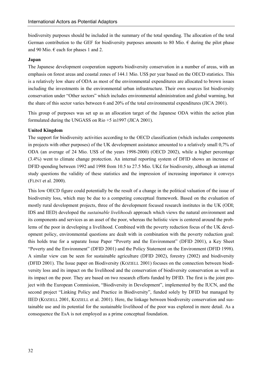biodiversity purposes should be included in the summary of the total spending. The allocation of the total German contribution to the GEF for biodiversity purposes amounts to 80 Mio.  $\epsilon$  during the pilot phase and 90 Mio.  $\epsilon$  each for phases 1 and 2.

#### **Japan**

The Japanese development cooperation supports biodiversity conservation in a number of areas, with an emphasis on forest areas and coastal zones of 144.1 Mio. US\$ per year based on the OECD statistics. This is a relatively low share of ODA as most of the environmental expenditures are allocated to brown issues including the investments in the environmental urban infrastructure. Their own sources list biodiversity conservation under "Other sectors" which includes environmental administration and global warming, but the share of this sector varies between 6 and 20% of the total environmental expenditures (JICA 2001).

This group of purposes was set up as an allocation target of the Japanese ODA within the action plan formulated during the UNGASS on Rio +5 in1997 (JICA 2001).

#### **United Kingdom**

The support for biodiversity activities according to the OECD classification (which includes components in projects with other purposes) of the UK development assistance amounted to a relatively small 0,7% of ODA (an average of 24 Mio. US\$ of the years 1998-2000) (OECD 2002), while a higher percentage (3.4%) went to climate change protection. An internal reporting system of DFID shows an increase of DFID spending between 1992 and 1998 from 10.5 to 27.5 Mio. UK£ for biodiversity, although an internal study questions the validity of these statistics and the impression of increasing importance it conveys (FLINT et al. 2000).

This low OECD figure could potentially be the result of a change in the political valuation of the issue of biodiversity loss, which may be due to a competing conceptual framework. Based on the evaluation of mostly rural development projects, three of the development focused research institutes in the UK (ODI; IDS and IIED) developed the *sustainable livelihoods* approach which views the natural environment and its components and services as an asset of the poor, whereas the holistic view is centered around the problems of the poor in developing a livelihood. Combined with the poverty reduction focus of the UK development policy, environmental questions are dealt with in combination with the poverty reduction goal: this holds true for a separate Issue Paper "Poverty and the Environment" (DFID 2001), a Key Sheet "Poverty and the Environment" (DFID 2001) and the Policy Statement on the Environment (DFID 1998). A similar view can be seen for sustainable agriculture (DFID 2002), forestry (2002) and biodiversity (DFID 2001). The Issue paper on Biodiversity (KOZIELL 2001) focuses on the connection between biodiversity loss and its impact on the livelihood and the conservation of biodiversity conservation as well as its impact on the poor. They are based on two research efforts funded by DFID. The first is the joint project with the European Commission, "Biodiversity in Development", implemented by the IUCN, and the second project "Linking Policy and Practice in Biodiversity", funded solely by DFID but managed by IIED (KOZIELL 2001, KOZIELL et al. 2001). Here, the linkage between biodiversity conservation and sustainable use and its potential for the sustainable livelihood of the poor was explored in more detail. As a consequence the EsA is not employed as a prime conceptual foundation.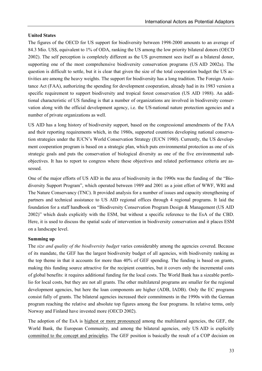# **United States**

The figures of the OECD for US support for biodiversity between 1998-2000 amounts to an average of 84.3 Mio. US\$, equivalent to 1% of ODA, ranking the US among the low priority bilateral donors (OECD 2002). The self perception is completely different as the US government sees itself as a bilateral donor, supporting one of the most comprehensive biodiversity conservation programs (US AID 2002a). The question is difficult to settle, but it is clear that given the size of the total cooperation budget the US activities are among the heavy weights. The support for biodiversity has a long tradition. The Foreign Assistance Act (FAA), authorizing the spending for development cooperation, already had in its 1983 version a specific requirement to support biodiversity and tropical forest conservation (US AID 1988). An additional characteristic of US funding is that a number of organizations are involved in biodiversity conservation along with the official development agency, i.e. the US-national nature protection agencies and a number of private organizations as well.

US AID has a long history of biodiversity support, based on the congressional amendments of the FAA and their reporting requirements which, in the 1980s, supported countries developing national conservation strategies under the IUCN's World Conservation Strategy (IUCN 1980). Currently, the US development cooperation program is based on a strategic plan, which puts environmental protection as one of six strategic goals and puts the conservation of biological diversity as one of the five environmental subobjectives. It has to report to congress where these objectives and related performance criteria are assessed.

One of the major efforts of US AID in the area of biodiversity in the 1990s was the funding of the "Biodiversity Support Program", which operated between 1989 and 2001 as a joint effort of WWF, WRI and The Nature Conservancy (TNC). It provided analysis for a number of issues and capacity strengthening of partners and technical assistance to US AID regional offices through 4 regional programs. It laid the foundation for a staff handbook on "Biodiversity Conservation Program Design & Management (US AID 2002)" which deals explicitly with the ESM, but without a specific reference to the EsA of the CBD. Here, it is used to discuss the spatial scale of intervention in biodiversity conservation and it places ESM on a landscape level.

## **Summing up**

The *size and quality of the biodiversity budget* varies considerably among the agencies covered. Because of its mandate, the GEF has the largest biodiversity budget of all agencies, with biodiversity ranking as the top theme in that it accounts for more than 40% of GEF spending. The funding is based on grants, making this funding source attractive for the recipient countries, but it covers only the incremental costs of global benefits: it requires additional funding for the local costs. The World Bank has a sizeable portfolio for local costs, but they are not all grants. The other multilateral programs are smaller for the regional development agencies, but here the loan components are higher (ADB, IADB). Only the EC programs consist fully of grants. The bilateral agencies increased their commitments in the 1990s with the German program reaching the relative and absolute top figures among the four programs. In relative terms, only Norway and Finland have invested more (OECD 2002).

The adoption of the EsA is highest or more pronounced among the multilateral agencies, the GEF, the World Bank, the European Community, and among the bilateral agencies, only US AID is explicitly committed to the concept and principles. The GEF position is basically the result of a COP decision on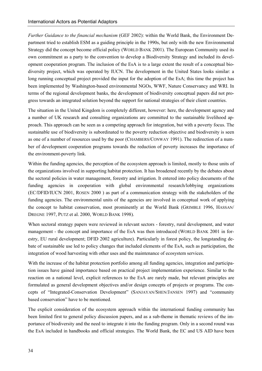*Further Guidance to the financial mechanism* (GEF 2002): within the World Bank, the Environment Department tried to establish ESM as a guiding principle in the 1990s, but only with the new Environmental Strategy did the concept become official policy (WORLD BANK 2001). The European Community used its own commitment as a party to the convention to develop a Biodiversity Strategy and included its development cooperation program. The inclusion of the EsA is to a large extent the result of a conceptual biodiversity project, which was operated by IUCN. The development in the United States looks similar: a long running conceptual project provided the input for the adoption of the EsA; this time the project has been implemented by Washington-based environmental NGOs, WWF, Nature Conservancy and WRI. In terms of the regional development banks, the development of biodiversity conceptual papers did not progress towards an integrated solution beyond the support for national strategies of their client countries.

The situation in the United Kingdom is completely different, however: here, the development agency and a number of UK research and consulting organizations are committed to the sustainable livelihood approach. This approach can be seen as a competing approach for integration, but with a poverty focus. The sustainable use of biodiversity is subordinated to the poverty reduction objective and biodiversity is seen as one of a number of resources used by the poor (CHAMBERS/CONWAY 1991). The redirection of a number of development cooperation programs towards the reduction of poverty increases the importance of the environment-poverty link.

Within the funding agencies, the perception of the ecosystem approach is limited, mostly to those units of the organizations involved in supporting habitat protection. It has broadened recently by the debates about the sectoral policies in water management, forestry and irrigation. It entered into policy documents of the funding agencies in cooperation with global environmental research/lobbying organizations (EC/DFID/IUCN 2001, ROSEN 2000 ) as part of a communication strategy with the stakeholders of the funding agencies. The environmental units of the agencies are involved in conceptual work of applying the concept to habitat conservation, most prominently at the World Bank (GRIMBLE 1996, HASSAN/ DREGNE 1997, PUTZ et al. 2000, WORLD BANK 1998).

When sectoral strategy papers were reviewed in relevant sectors - forestry, rural development, and water management - the concept and importance of the EsA was then introduced (WORLD BANK 2001 in forestry, EU rural development; DFID 2002 agriculture). Particularly in forest policy, the longstanding debate of sustainable use led to policy changes that included elements of the EsA, such as participation, the integration of wood harvesting with other uses and the maintenance of ecosystem services.

With the increase of the habitat protection portfolio among all funding agencies, integration and participation issues have gained importance based on practical project implementation experience. Similar to the reaction on a national level, explicit references to the EsA are rarely made, but relevant principles are formulated as general development objectives and/or design concepts of projects or programs. The concepts of "Integrated-Conservation Development" (SANJAYAN/SHEN/JANSEN 1997) and "community based conservation" have to be mentioned.

The explicit consideration of the ecosystem approach within the international funding community has been limited first to general policy discussion papers, and as a sub-theme in thematic reviews of the importance of biodiversity and the need to integrate it into the funding program. Only in a second round was the EsA included in handbooks and official strategies. The World Bank, the EC and US AID have been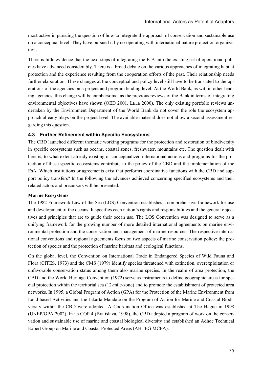most active in pursuing the question of how to integrate the approach of conservation and sustainable use on a conceptual level. They have pursued it by co-operating with international nature protection organizations.

There is little evidence that the next steps of integrating the EsA into the existing set of operational policies have advanced considerably. There is a broad debate on the various approaches of integrating habitat protection and the experience resulting from the cooperation efforts of the past. Their relationship needs further elaboration. These changes at the conceptual and policy level still have to be translated to the operations of the agencies on a project and program lending level. At the World Bank, as within other lending agencies, this change will be cumbersome, as the previous reviews of the Bank in terms of integrating environmental objectives have shown (OED 2001, LELE 2000). The only existing portfolio reviews undertaken by the Environment Department of the World Bank do not cover the role the ecosystem approach already plays on the project level. The available material does not allow a second assessment regarding this question.

## **4.3 Further Refinement within Specific Ecosystems**

The CBD launched different thematic working programs for the protection and restoration of biodiversity in specific ecosystems such as oceans, coastal zones, freshwater, mountains etc. The question dealt with here is, to what extent already existing or conceptualized international actions and programs for the protection of these specific ecosystems contribute to the policy of the CBD and the implementation of the EsA. Which institutions or agreements exist that performs coordinative functions with the CBD and support policy transfers? In the following the advances achieved concerning specified ecosystems and their related actors and precursors will be presented.

#### **Marine Ecosystems**

The 1982 Framework Law of the Sea (LOS) Convention establishes a comprehensive framework for use and development of the oceans. It specifies each nation's rights and responsibilities and the general objectives and principles that are to guide their ocean use. The LOS Convention was designed to serve as a unifying framework for the growing number of more detailed international agreements on marine environmental protection and the conservation and management of marine resources. The respective international conventions and regional agreements focus on two aspects of marine conservation policy: the protection of species and the protection of marine habitats and ecological functions.

On the global level, the Convention on International Trade in Endangered Species of Wild Fauna and Flora (CITES, 1973) and the CMS (1979) identify species threatened with extinction, overexploitation or unfavorable conservation status among them also marine species. In the realm of area protection, the CBD and the World Heritage Convention (1972) serve as instruments to define geographic areas for special protection within the territorial sea (12-mile-zone) and to promote the establishment of protected area networks. In 1995, a Global Program of Action (GPA) for the Protection of the Marine Environment from Land-based Activities and the Jakarta Mandate on the Program of Action for Marine and Coastal Biodiversity within the CBD were adopted. A Coordination Office was established at The Hague in 1998 (UNEP/GPA 2002). In its COP 4 (Bratislava, 1998), the CBD adopted a program of work on the conservation and sustainable use of marine and coastal biological diversity and established an Adhoc Technical Expert Group on Marine and Coastal Protected Areas (AHTEG MCPA).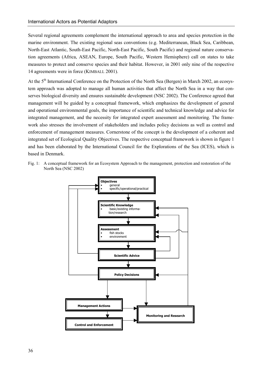Several regional agreements complement the international approach to area and species protection in the marine environment. The existing regional seas conventions (e.g. Mediterranean, Black Sea, Caribbean, North-East Atlantic, South-East Pacific, North-East Pacific, South Pacific) and regional nature conservation agreements (Africa, ASEAN, Europe, South Pacific, Western Hemisphere) call on states to take measures to protect and conserve species and their habitat. However, in 2001 only nine of the respective 14 agreements were in force (KIMBALL 2001).

At the 5<sup>th</sup> International Conference on the Protection of the North Sea (Bergen) in March 2002, an ecosystem approach was adopted to manage all human activities that affect the North Sea in a way that conserves biological diversity and ensures sustainable development (NSC 2002). The Conference agreed that management will be guided by a conceptual framework, which emphasizes the development of general and operational environmental goals, the importance of scientific and technical knowledge and advice for integrated management, and the necessity for integrated expert assessment and monitoring. The framework also stresses the involvement of stakeholders and includes policy decisions as well as control and enforcement of management measures. Cornerstone of the concept is the development of a coherent and integrated set of Ecological Quality Objectives. The respective conceptual framework is shown in figure 1 and has been elaborated by the International Council for the Explorations of the Sea (ICES), which is based in Denmark.

Fig. 1: A conceptual framework for an Ecosystem Approach to the management, protection and restoration of the North Sea (NSC 2002)

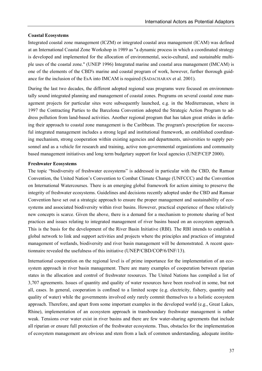#### **Coastal Ecosystems**

Integrated coastal zone management (ICZM) or integrated coastal area management (ICAM) was defined at an International Coastal Zone Workshop in 1989 as "a dynamic process in which a coordinated strategy is developed and implemented for the allocation of environmental, socio-cultural, and sustainable multiple uses of the coastal zone." (UNEP 1996) Integrated marine and coastal area management (IMCAM) is one of the elements of the CBD's marine and coastal program of work, however, further thorough guidance for the inclusion of the EsA into IMCAM is required (SADACHARAN et al. 2001).

During the last two decades, the different adopted regional seas programs were focused on environmentally sound integrated planning and management of coastal zones. Programs on several coastal zone management projects for particular sites were subsequently launched, e.g. in the Mediterranean, where in 1997 the Contracting Parties to the Barcelona Convention adopted the Strategic Action Program to address pollution from land-based activities. Another regional program that has taken great strides in defining their approach to coastal zone management is the Caribbean. The program's prescription for successful integrated management includes a strong legal and institutional framework, an established coordinating mechanism, strong cooperation within existing agencies and departments, universities to supply personnel and as a vehicle for research and training, active non-governmental organizations and community based management initiatives and long term budgetary support for local agencies (UNEP/CEP 2000).

#### **Freshwater Ecosystems**

The topic "biodiversity of freshwater ecosystems" is addressed in particular with the CBD, the Ramsar Convention, the United Nation's Convention to Combat Climate Change (UNFCCC) and the Convention on International Watercourses. There is an emerging global framework for action aiming to preserve the integrity of freshwater ecosystems. Guidelines and decisions recently adopted under the CBD and Ramsar Convention have set out a strategic approach to ensure the proper management and sustainability of ecosystems and associated biodiversity within river basins. However, practical experience of these relatively new concepts is scarce. Given the above, there is a demand for a mechanism to promote sharing of best practices and issues relating to integrated management of river basins based on an ecosystem approach. This is the basis for the development of the River Basin Initiative (RBI). The RBI intends to establish a global network to link and support activities and projects where the principles and practices of integrated management of wetlands, biodiversity and river basin management will be demonstrated. A recent questionnaire revealed the usefulness of this initiative (UNEP/CBD/COP/6/INF/13).

International cooperation on the regional level is of prime importance for the implementation of an ecosystem approach in river basin management. There are many examples of cooperation between riparian states in the allocation and control of freshwater resources. The United Nations has compiled a list of 3,707 agreements. Issues of quantity and quality of water resources have been resolved in some, but not all, cases. In general, cooperation is confined to a limited scope (e.g. electricity, fishery, quantity and quality of water) while the governments involved only rarely commit themselves to a holistic ecosystem approach. Therefore, and apart from some important examples in the developed world (e.g., Great Lakes, Rhine), implementation of an ecosystem approach in transboundary freshwater management is rather weak. Tensions over water exist in river basins and there are few water-sharing agreements that include all riparian or ensure full protection of the freshwater ecosystems. Thus, obstacles for the implementation of ecosystem management are obvious and stem from a lack of common understanding, adequate institu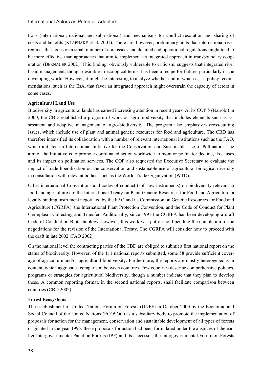tions (international, national and sub-national) and mechanisms for conflict resolution and sharing of costs and benefits (KLAPHAKE et al. 2001). There are, however, preliminary hints that international river regimes that focus on a small number of core issues and detailed and operational regulations might tend to be more effective than approaches that aim to implement an integrated approach in transboundary cooperation (BERNAUER 2002). This finding, obviously vulnerable to criticism, suggests that integrated river basin management, though desirable in ecological terms, has been a recipe for failure, particularly in the developing world. However, it might be interesting to analyze whether and in which cases policy recommendations, such as the EsA, that favor an integrated approach might overstrain the capacity of actors in some cases.

#### **Agricultural Land Use**

Biodiversity in agricultural lands has earned increasing attention in recent years. At its COP 5 (Nairobi) in 2000, the CBD established a program of work on agro-biodiversity that includes elements such as assessment and adaptive management of agro-biodiversity. The program also emphasizes cross-cutting issues, which include use of plant and animal genetic resources for food and agriculture. The CBD has therefore intensified its collaboration with a number of relevant international institutions such as the FAO, which initiated an International Initiative for the Conservation and Sustainable Use of Pollinators. The aim of the Initiative is to promote coordinated action worldwide to monitor pollinator decline, its causes and its impact on pollination services. The COP also requested the Executive Secretary to evaluate the impact of trade liberalization on the conservation and sustainable use of agricultural biological diversity in consultation with relevant bodies, such as the World Trade Organization (WTO).

Other international Conventions and codes of conduct (soft law instruments) on biodiversity relevant to food and agriculture are the International Treaty on Plant Genetic Resources for Food and Agriculture, a legally binding instrument negotiated by the FAO and its Commission on Genetic Resources for Food and Agriculture (CGRFA), the International Plant Protection Convention, and the Code of Conduct for Plant Germplasm Collecting and Transfer. Additionally, since 1991 the CGRFA has been developing a draft Code of Conduct on Biotechnology, however, this work was put on hold pending the completion of the negotiations for the revision of the International Treaty. The CGRFA will consider how to proceed with the draft in late 2002 (FAO 2002).

On the national level the contracting parties of the CBD are obliged to submit a first national report on the status of biodiversity. However, of the 111 national reports submitted, some 58 provide sufficient coverage of agriculture and/or agricultural biodiversity. Furthermore, the reports are mostly heterogeneous in content, which aggravates comparison between countries. Few countries describe comprehensive policies, programs or strategies for agricultural biodiversity, though a number indicate that they plan to develop these. A common reporting format, in the second national reports, shall facilitate comparison between countries (CBD 2002).

#### **Forest Ecosystems**

The establishment of United Nations Forum on Forests (UNFF) in October 2000 by the Economic and Social Council of the United Nations (ECOSOC) as a subsidiary body to promote the implementation of proposals for action for the management, conservation and sustainable development of all types of forests originated in the year 1995: these proposals for action had been formulated under the auspices of the earlier Intergovernmental Panel on Forests (IPF) and its successor, the Intergovernmental Forum on Forests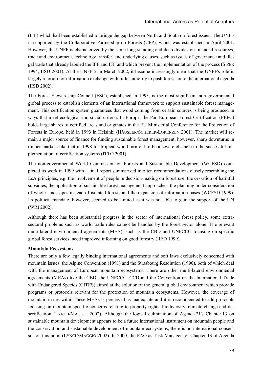(IFF) which had been established to bridge the gap between North and South on forest issues. The UNFF is supported by the Collaborative Partnership on Forests (CFP), which was established in April 2001. However, the UNFF is characterized by the same long-standing and deep divides on financial resources, trade and environment, technology transfer, and underlying causes, such as issues of governance and illegal trade that already labeled the IPF and IFF and which prevent the implementation of the process (SIZER 1994, IISD 2001). At the UNFF-2 in March 2002, it became increasingly clear that the UNFF's role is largely a forum for information exchange with little authority to push forests onto the international agenda (IISD 2002).

The Forest Stewardship Council (FSC), established in 1993, is the most significant non-governmental global process to establish elements of an international framework to support sustainable forest management. This certification system guarantees that wood coming from certain sources is being produced in ways that meet ecological and social criteria. In Europe, the Pan-European Forest Certification (PEFC) holds large shares of certified areas and originates in the EU Ministerial Conference for the Protection of Forests in Europe, held in 1993 in Helsinki (HÄUSLER/SCHERER-LORENZEN 2001). The market will remain a major source of finance for funding sustainable forest management, however, sharp downturns in timber markets like that in 1998 for tropical wood turn out to be a severe obstacle to the successful implementation of certification systems (ITTO 2001).

The non-governmental World Commission on Forests and Sustainable Development (WCFSD) completed its work in 1999 with a final report summarized into ten recommendations closely resembling the EsA principles, e.g. the involvement of people in decision-making on forest use, the cessation of harmful subsidies, the application of sustainable forest management approaches, the planning under consideration of whole landscapes instead of isolated forests and the expansion of information bases (WCFSD 1999). Its political mandate, however, seemed to be limited as it was not able to gain the support of the UN (WRI 2002).

Although there has been substantial progress in the sector of international forest policy, some extrasectoral problems such as world trade rules cannot be handled by the forest sector alone. The relevant multi-lateral environmental agreements (MEA), such as the CBD and UNFCCC focusing on specific global forest services, need improved informing on good forestry (IIED 1999).

#### **Mountain Ecosystems**

There are only a few legally binding international agreements and soft laws exclusively concerned with mountain issues: the Alpine Convention (1991) and the Strasbourg Resolution (1990), both of which deal with the management of European mountain ecosystems. There are other multi-lateral environmental agreements (MEAs) like the CBD, the UNFCCC, CCD and the Convention on the International Trade with Endangered Species (CITES) aimed at the solution of the general global environment which provide programs or protocols relevant for the protection of mountain ecosystems. However, the coverage of mountain issues within these MEAs is perceived as inadequate and it is recommended to add protocols focusing on mountain-specific concerns relating to property rights, biodiversity, climate change and desertification (LYNCH/MAGGIO 2002). Although the logical culmination of Agenda 21's Chapter 13 on sustainable mountain development appears to be a future international instrument on mountain people and the conservation and sustainable development of mountain ecosystems, there is no international consensus on this point (LYNCH/MAGGIO 2002). In 2000, the FAO as Task Manager for Chapter 13 of Agenda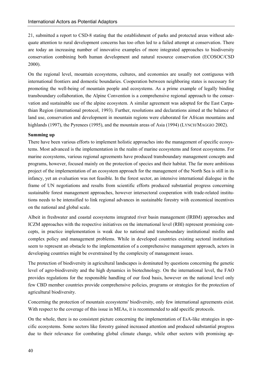21, submitted a report to CSD-8 stating that the establishment of parks and protected areas without adequate attention to rural development concerns has too often led to a failed attempt at conservation. There are today an increasing number of innovative examples of more integrated approaches to biodiversity conservation combining both human development and natural resource conservation (ECOSOC/CSD 2000).

On the regional level, mountain ecosystems, cultures, and economies are usually not contiguous with international frontiers and domestic boundaries. Cooperation between neighboring states is necessary for promoting the well-being of mountain people and ecosystems. As a prime example of legally binding transboundary collaboration, the Alpine Convention is a comprehensive regional approach to the conservation and sustainable use of the alpine ecosystem. A similar agreement was adopted for the East Carpathian Region (international protocol, 1993). Further, resolutions and declarations aimed at the balance of land use, conservation and development in mountain regions were elaborated for African mountains and highlands (1997), the Pyrenees (1995), and the mountain areas of Asia (1994) (LYNCH/MAGGIO 2002).

## **Summing up**

There have been various efforts to implement holistic approaches into the management of specific ecosystems. Most advanced is the implementation in the realm of marine ecosystems and forest ecosystems. For marine ecosystems, various regional agreements have produced transboundary management concepts and programs, however, focused mainly on the protection of species and their habitat. The far more ambitious project of the implementation of an ecosystem approach for the management of the North Sea is still in its infancy, yet an evaluation was not feasible. In the forest sector, an intensive international dialogue in the frame of UN negotiations and results from scientific efforts produced substantial progress concerning sustainable forest management approaches, however intersectoral cooperation with trade-related institutions needs to be intensified to link regional advances in sustainable forestry with economical incentives on the national and global scale.

Albeit in freshwater and coastal ecosystems integrated river basin management (IRBM) approaches and ICZM approaches with the respective initiatives on the international level (RBI) represent promising concepts, in practice implementation is weak due to national and transboundary institutional misfits and complex policy and management problems. While in developed countries existing sectoral institutions seem to represent an obstacle to the implementation of a comprehensive management approach, actors in developing countries might be overstrained by the complexity of management issues.

The protection of biodiversity in agricultural landscapes is dominated by questions concerning the genetic level of agro-biodiversity and the high dynamics in biotechnology. On the international level, the FAO provides regulations for the responsible handling of our food basis, however on the national level only few CBD member countries provide comprehensive policies, programs or strategies for the protection of agricultural biodiversity.

Concerning the protection of mountain ecosystems' biodiversity, only few international agreements exist. With respect to the coverage of this issue in MEAs, it is recommended to add specific protocols.

On the whole, there is no consistent picture concerning the implementation of EsA-like strategies in specific ecosystems. Some sectors like forestry gained increased attention and produced substantial progress due to their relevance for combating global climate change, while other sectors with promising ap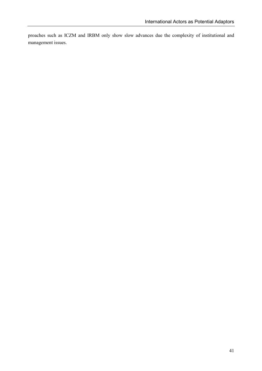proaches such as ICZM and IRBM only show slow advances due the complexity of institutional and management issues.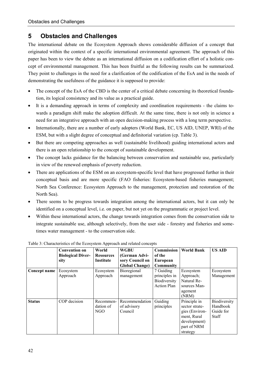# **5 Obstacles and Challenges**

The international debate on the Ecosystem Approach shows considerable diffusion of a concept that originated within the context of a specific international environmental agreement. The approach of this paper has been to view the debate as an international diffusion on a codification effort of a holistic concept of environmental management. This has been fruitful as the following results can be summarized. They point to challenges in the need for a clarification of the codification of the EsA and in the needs of demonstrating the usefulness of the guidance it is supposed to provide:

- - The concept of the EsA of the CBD is the center of a critical debate concerning its theoretical foundation, its logical consistency and its value as a practical guide.
- It is a demanding approach in terms of complexity and coordination requirements the claims towards a paradigm shift make the adoption difficult. At the same time, there is not only in science a need for an integrative approach with an open decision-making process with a long term perspective.
- $\bullet$  Internationally, there are a number of early adopters (World Bank, EC, US AID, UNEP, WRI) of the ESM, but with a slight degree of conceptual and definitorial variation (cp. Table 3).
- $\bullet$  But there are competing approaches as well (sustainable livelihood) guiding international actors and there is an open relationship to the concept of sustainable development.
- $\bullet$  The concept lacks guidance for the balancing between conservation and sustainable use, particularly in view of the renewed emphasis of poverty reduction.
- $\bullet$  There are applications of the ESM on an ecosystem-specific level that have progressed further in their conceptual basis and are more specific (FAO fisheries: Ecosystem-based fisheries management; North Sea Conference: Ecosystem Approach to the management, protection and restoration of the North Sea).
- - There seems to be progress towards integration among the international actors, but it can only be identified on a conceptual level, i.e. on paper, but not yet on the programmatic or project level.
- - Within these international actors, the change towards integration comes from the conservation side to integrate sustainable use, although selectively, from the user side - forestry and fisheries and sometimes water management - to the conservation side.

|               | <b>Convention on</b>             | World                         | <b>WGBU</b>                      | <b>Commission</b>  | <b>World Bank</b> | <b>US AID</b> |
|---------------|----------------------------------|-------------------------------|----------------------------------|--------------------|-------------------|---------------|
|               | <b>Biological Diver-</b><br>sity | <b>Resources</b><br>Institute | (German Advi-<br>sory Council on | of the<br>European |                   |               |
|               |                                  |                               | <b>Global Change)</b>            | Community          |                   |               |
| Concept name  | Ecosystem                        | Ecosystem                     | Bioregional                      | 7 Guiding          | Ecosystem         | Ecosystem     |
|               | Approach                         | Approach                      | management                       | principles in      | Approach;         | Management    |
|               |                                  |                               |                                  | Biodiversity       | Natural Re-       |               |
|               |                                  |                               |                                  | <b>Action Plan</b> | sources Man-      |               |
|               |                                  |                               |                                  |                    | agement           |               |
|               |                                  |                               |                                  |                    | (NRM)             |               |
| <b>Status</b> | COP decision                     | Recommen-                     | Recommendation                   | Guiding            | Principle in      | Biodiversity  |
|               |                                  | dation of                     | of advisory                      | principles         | sector strate-    | Handbook      |
|               |                                  | NGO                           | Council                          |                    | gies (Environ-    | Guide for     |
|               |                                  |                               |                                  |                    | ment, Rural       | Staff         |
|               |                                  |                               |                                  |                    | development)      |               |
|               |                                  |                               |                                  |                    | part of NRM       |               |
|               |                                  |                               |                                  |                    | strategy          |               |

#### Table 3: Characteristics of the Ecosystem Approach and related concepts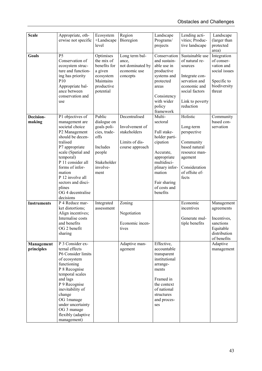| <b>Scale</b>             | Appropriate, oth-                                                                                                                                                                                                                                                                                   | Ecosystem                                                                                                             | Region                                                                               | Landscape                                                                                                                                                                         | Lending acti-                                                                                                                                     | Landscape                                                                                         |
|--------------------------|-----------------------------------------------------------------------------------------------------------------------------------------------------------------------------------------------------------------------------------------------------------------------------------------------------|-----------------------------------------------------------------------------------------------------------------------|--------------------------------------------------------------------------------------|-----------------------------------------------------------------------------------------------------------------------------------------------------------------------------------|---------------------------------------------------------------------------------------------------------------------------------------------------|---------------------------------------------------------------------------------------------------|
|                          | erwise not specific                                                                                                                                                                                                                                                                                 | +Landscape<br>level                                                                                                   | Bioregion                                                                            | Programs/<br>projects                                                                                                                                                             | vities; Produc-<br>tive landscape                                                                                                                 | (larger than<br>protected<br>area)                                                                |
| Goals                    | P <sub>5</sub><br>Conservation of<br>ecosystem struc-<br>ture and function-<br>ing has priority<br>P <sub>10</sub><br>Appropriate bal-<br>ance between<br>conservation and<br>use                                                                                                                   | Optimises<br>the mix of<br>benefits for<br>a given<br>ecosystem<br>Maintains<br>productive<br>potential               | Long term bal-<br>ance,<br>not dominated by<br>economic use<br>concepts              | Conservation<br>and sustain-<br>able use in<br>productive<br>systems and<br>protected<br>areas<br>Consistency<br>with wider<br>policy<br>framework                                | Sustainable use<br>of natural re-<br>sources<br>Integrate con-<br>servation and<br>economic and<br>social factors<br>Link to poverty<br>reduction | Integration<br>of conser-<br>vation and<br>social issues<br>Specific to<br>biodiversity<br>threat |
| Decision-<br>making      | P1 objectives of<br>management are<br>societal choice<br>P2 Management<br>should be decen-<br>tralised<br>P7 appropriate<br>scale (Spatial and<br>temporal)<br>P 11 consider all<br>forms of infor-<br>mation<br>P 12 involve all<br>sectors and disci-<br>plines<br>OG 4 decentralise<br>decisions | Public<br>dialogue on<br>goals poli-<br>cies, trade-<br>offs<br>Includes<br>people<br>Stakeholder<br>involve-<br>ment | Decentralised<br>Involvement of<br>stakeholders<br>Limits of dis-<br>course approach | Multi-<br>sectoral<br>Full stake-<br>holder parti-<br>cipation<br>Accurate,<br>appropriate<br>multidisci-<br>plinary infor-<br>mation<br>Fair sharing<br>of costs and<br>benefits | Holistic<br>Long-term<br>perspective<br>Community<br>based natural<br>resource man-<br>agement<br>Consideration<br>of offsite ef-<br>fects        | Community<br>based con-<br>servation                                                              |
| <b>Instruments</b>       | P 4 Reduce mar-<br>ket distortions;<br>Align incentives;<br>Internalise costs<br>and benefits<br>OG 2 benefit<br>sharing                                                                                                                                                                            | Integrated<br>assessment                                                                                              | Zoning<br>Negotiation<br>Economic incen-<br>tives                                    |                                                                                                                                                                                   | Economic<br>incentives<br>Generate mul-<br>tiple benefits                                                                                         | Management<br>agreements<br>Incentives,<br>sanctions<br>Equitable<br>distribution<br>of benefits  |
| Management<br>principles | P 3 Consider ex-<br>ternal effects<br>P6 Consider limits<br>of ecosystem<br>functioning<br>P 8 Recognise<br>temporal scales<br>and lags<br>P 9 Recognise<br>inevitability of<br>change<br>OG 1manage<br>under uncertainty<br>OG 3 manage<br>flexibly (adaptive<br>management)                       |                                                                                                                       | Adaptive man-<br>agement                                                             | Effective,<br>accountable<br>transparent<br>institutional<br>arrange-<br>ments<br>Framed in<br>the context<br>of national<br>structures<br>and proces-<br>ses                     |                                                                                                                                                   | Adaptive<br>management                                                                            |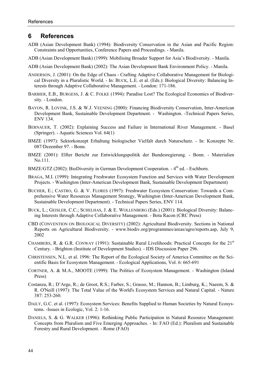# **6 References**

- ADB (Asian Development Bank) (1994): Biodiversity Conservation in the Asian and Pacific Region: Constraints and Opportunities, Conference Papers and Proceedings. - Manila.
- ADB (Asian Development Bank) (1999): Mobilising Broader Support for Asia's Biodiversity. Manila.
- ADB (Asian Development Bank) (2002): The Asian Development Bank Environment Policy. Manila.
- ANDERSON, J. (2001): On the Edge of Chaos Crafting Adaptive Collaborative Management for Biological Diversity in a Pluralistic World. - In: BUCK, L.E. et al. (Eds.): Biological Diversity: Balancing Interests through Adaptive Collaborative Management. - London: 171-186.
- BARBIER, E.B., BURGESS, J. & C. FOLKE (1994): Paradise Lost? The Ecological Economics of Biodiversity. - London.
- BAYON, R. LOVINK, J.S. & W.J. VEENING (2000): Financing Biodiversity Conservation, Inter-American Development Bank, Sustainable Development Department. - Washington. -Technical Papers Series, ENV 134.
- BERNAUER, T. (2002): Explaining Success and Failure in International River Management. Basel (Springer). - Aquatic Sciences Vol. 64(1)
- BMZE (1997): Sektorkonzept Erhaltung biologischer Vielfalt durch Naturschutz. In: Konzepte Nr. 087/Dezember 97. - Bonn.
- BMZE (2001): Elfter Bericht zur Entwicklungspolitik der Bundesregierung. Bonn. Materialien No.111.
- BMZE/GTZ (2002): BioDiversity in German Development Cooperation. 4<sup>th</sup> ed. Eschborn.
- BRAGA, M.I. (1999): Integrating Freshwater Ecosystem Function and Services with Water Development Projects. - Washington (Inter-American Development Bank, Sustainable Development Department)
- BUCHER, E.; CASTRO, G. & V. FLORES (1997): Freshwater Ecosystem Conservation: Towards a Comprehensive Water Resources Management Strategy, Washington (Inter-American Development Bank, Sustainable Development Department). - Technical Papers Series, ENV 114.
- BUCK, L.; GEISLER, C.C.; SCHELHAS, J. & E. WOLLENBERG (Eds.) (2001): Biological Diversity: Balancing Interests through Adaptive Collaborative Management. - Bota Racon (CRC Press)
- CBD (CONVENTION ON BIOLOGICAL DIVERSITY) (2002): Agricultural Biodiversity. Sections in National Reports on Agricultural Biodiversity. - www.biodiv.org/programmes/areas/agro/reports.asp, July 9, 2002
- CHAMBERS, R. & G.R. CONWAY (1991): Sustainable Rural Livelihoods: Practical Concepts for the 21st Century. - Brighton (Institute of Development Studies). - IDS Discussion Paper 296.
- CHRISTENSEN, N.L. et al. 1996: The Report of the Ecological Society of America Committee on the Scientific Basis for Ecosystem Management. - Ecological Applications, Vol. 6: 665-691
- CORTNER, A. & M.A., MOOTE (1999): The Politics of Ecosystem Management. Washington (Island Press)
- Costanza, R.; D'Arge, R.; de Groot, R.S.; Farber, S.; Grasso, M.; Hannon, B.; Limburg, K.; Naeem, S. & R. O'Neill (1997): The Total Value of the World's Ecosystem Services and Natural Capital. - Nature 387: 253-260.
- DAILY, G.C. et al. (1997): Ecosystem Services: Benefits Supplied to Human Societies by Natural Ecosystems. -Issues in Ecologic, Vol. 2: 1-16.
- DANIELS, S. & G. WALKER (1996): Rethinking Public Participation in Natural Resource Management: Concepts from Pluralism and Five Emerging Approaches. - In: FAO (Ed.): Pluralism and Sustainable Forestry and Rural Development. - Rome (FAO)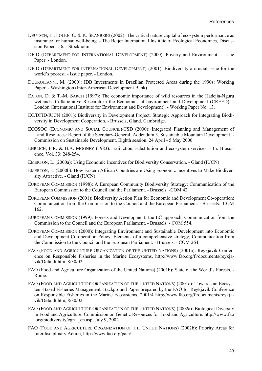- DEUTSCH, L.; FOLKE, C. & K. SKANBERG (2002): The critical nature capital of ecosystem performance as insurance for human well-being. - The Beijer International Institute of Ecological Economics, Discussion Paper 156. - Stockholm.
- DFID (DEPARTMENT FOR INTERNATIONAL DEVELOPMENT) (2000): Poverty and Environment. Issue Paper. - London.
- DFID (DEPARTMENT FOR INTERNATIONAL DEVELOPMENT) (2001): Biodiversity a crucial issue for the world's poorest. - Issue paper. - London.
- DOUROJEANNI, M. (2000): IDB Investments in Brazilian Protected Areas during the 1990s: Working Paper. - Washington (Inter-American Development Bank)
- EATON, D. & T.-M. SARCH (1997): The economic importance of wild resources in the Hadejia-Nguru wetlands: Collaborative Research in the Economics of environment and Development (CREED). - London (International Institute for Environment and Development). - Working Paper No. 13.
- EC/DFID/IUCN (2001): Biodiversity in Development Project: Strategic Approach for Integrating Biodiversity in Development Cooperation. - Brussels, Gland, Cambridge.
- ECOSOC (ECONOMIC AND SOCIAL COUNCIL)/CSD (2000): Integrated Planning and Management of Land Resources: Report of the Secretary-General. Addendum 3. Sustainable Mountain Development. - Commission on Sustainable Development. Eighth session. 24 April - 5 May 2000
- EHRLICH, P.R. & H.A. MOONEY (1983): Extinction, substitution and ecosystem services. In: Bioscience, Vol. 33: 248-254.
- EMERTON, L. (2000a): Using Economic Incentives for Biodiversity Conservation. Gland (IUCN)
- EMERTON, L. (2000b): How Eastern African Countries are Using Economic Incentives to Make Biodiversity Attractive. - Gland (IUCN)
- EUROPEAN COMMISSION (1998): A European Community Biodiversity Strategy: Communication of the European Commission to the Council and the Parliament. - Brussels. -COM 42.
- EUROPEAN COMMISSION (2001): Biodiversity Action Plan for Economic and Development Co-operation: Communication from the Commission to the Council and the European Parliament. - Brussels. -COM 162.
- EUROPEAN COMMISSION (1999): Forests and Development: the EC approach, Communication from the Commission to the Council and the European Parliament. - Brussels. - COM 554.
- EUROPEAN COMMISSION (2000): Integrating Environment and Sustainable Development into Economic and Development Co-operation Policy: Elements of a comprehensive strategy, Communication from the Commission to the Council and the European Parliament. - Brussels. - COM 264.
- FAO (FOOD AND AGRICULTURE ORGANIZATION OF THE UNITED NATIONS) (2001a): Reykjavik Conference on Responsible Fisheries in the Marine Ecosystems, http://www.fao.org/fi/documents/reykjavik/Default.htm, 8/30/02
- FAO (Food and Agriculture Organization of the United Nations) (2001b): State of the World's Forests. Rome.
- FAO (FOOD AND AGRICULTURE ORGANIZATION OF THE UNITED NATIONS) (2001c): Towards an Ecosystem-Based Fisheries Management: Background Paper prepared by the FAO for Reykjavik Conference on Responsible Fisheries in the Marine Ecosystems, 2001/4 http://www.fao.org/fi/documents/reykjavik/Default.htm, 8/30/02
- FAO (FOOD AND AGRICULTURE ORGANIZATION OF THE UNITED NATIONS) (2002a): Biological Diversity in Food and Agriculture. Commission on Genetic Resources for Food and Agriculture. http://www.fao .org/biodiversity/cgrfa\_en.asp, July 9, 2002
- FAO (FOOD AND AGRICULTURE ORGANIZATION OF THE UNITED NATIONS) (2002b): Priority Areas for Interdisciplinary Action, http://www.fao.org/paia/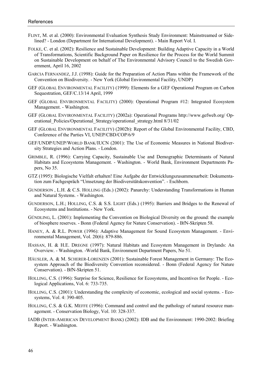- FLINT, M. et al. (2000): Environmental Evaluation Synthesis Study Environment: Mainstreamed or Sidelined? - London (Department for International Development). - Main Report Vol. I.
- FOLKE, C. et al. (2002): Resilience and Sustainable Development: Building Adaptive Capacity in a World of Transformations, Scientific Background Paper on Resilience for the Process for the World Summit on Sustainable Development on behalf of The Environmental Advisory Council to the Swedish Government, April 16, 2002
- GARCIA FERNANDEZ, J.J. (1998): Guide for the Preparation of Action Plans within the Framework of the Convention on Biodiversity. - New York (Global Environmental Facility, UNDP)
- GEF (GLOBAL ENVIRONMENTAL FACILITY) (1999): Elements for a GEF Operational Program on Carbon Sequestration, GEF/C.13/14 April, 1999
- GEF (GLOBAL ENVIRONMENTAL FACILITY) (2000): Operational Program #12: Integrated Ecosystem Management. - Washington.
- GEF (GLOBAL ENVIRONMENTAL FACILITY) (2002a): Operational Programs http://www.gefweb.org/ Operational\_Policies/Operational\_Strategy/operational\_strategy.html 8/31/02
- GEF (GLOBAL ENVIRONMENTAL FACILITY) (2002b): Report of the Global Environmental Facility, CBD, Conference of the Parties VI, UNEP/CBD/COP/6/9
- GEF/UNDP/UNEP/WORLD BANK/IUCN (2001): The Use of Economic Measures in National Biodiversity Strategies and Action Plans. - London.
- GRIMBLE, R. (1996): Carrying Capacity, Sustainable Use and Demographic Determinants of Natural Habitats and Ecosystems Management. - Washington. - World Bank, Environment Departments Papers, No 35.
- GTZ (1995): Biologische Vielfalt erhalten! Eine Aufgabe der Entwicklungszusammenarbeit: Dokumentation zum Fachgespräch "Umsetzung der Biodiversitätskonvention". - Eschborn.
- GUNDERSON , L.H. & C.S. HOLLING (Eds.) (2002): Panarchy: Understanding Transformations in Human and Natural Systems. - Washington.
- GUNDERSON, L.H.; HOLLING, C.S. & S.S. LIGHT (Eds.) (1995): Barriers and Bridges to the Renewal of Ecosystems and Institutions. - New York.
- GÜNDLING, L. (2001): Implementing the Convention on Biological Diversity on the ground: the example of biosphere reserves. - Bonn (Federal Agency for Nature Conservation). - BfN-Skripten 58.
- HANEY, A. & R.L. POWER (1996): Adaptive Management for Sound Ecosystem Management. Environmental Management, Vol. 20(6): 879-886.
- HASSAN, H. & H.E. DREGNE (1997): Natural Habitats and Ecosystem Management in Drylands: An Overview. - Washington. -World Bank, Environment Department Papers, No 51.
- HÄUSLER, A. & M. SCHERER-LORENZEN (2001): Sustainable Forest Management in Germany: The Ecosystem Approach of the Biodiversity Convention reconsidered. - Bonn (Federal Agency for Nature Conservation). - BfN-Skripten 51.
- HOLLING, C.S. (1996): Surprise for Science, Resilience for Ecosystems, and Incentives for People. Ecological Applications, Vol. 6: 733-735.
- HOLLING, C.S. (2001): Understanding the complexity of economic, ecological and social systems. Ecosystems, Vol. 4: 390-405.
- HOLLING, C.S. & G.K. MEFFE (1996): Command and control and the pathology of natural resource management. - Conservation Biology, Vol. 10: 328-337.
- IADB (INTER-AMERICAN DEVELOPMENT BANK) (2002): IDB and the Environment: 1990-2002: Briefing Report. - Washington.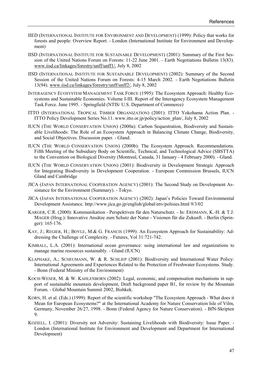- IIED (INTERNATIONAL INSTITUTE FOR ENVIRONMENT AND DEVELOPMENT) (1999): Policy that works for forests and people: Overview Report. - London (International Institute for Environment and Development)
- IISD (INTERNATIONAL INSTITUTE FOR SUSTAINABLE DEVELOPMENT) (2001): Summary of the First Session of the United Nations Forum on Forests: 11-22 June 2001. - Earth Negotiations Bulletin 13(83). www.iisd.ca/linkages/forestry/unff/unff1/, July 8, 2002
- IISD (INTERNATIONAL INSTITUTE FOR SUSTAINABLE DEVELOPMENT) (2002): Summary of the Second Session of the United Nations Forum on Forests: 4-15 March 2002. - Earth Negotiations Bulletin 13(94). www.iisd.ca/linkages/forestry/unff/unff2/, July 8, 2002
- INTERAGENCY ECOSYSTEM MANAGEMENT TASK FORCE (1995): The Ecosystem Approach: Healthy Ecosystems and Sustainable Economies. Volume I-III. Report of the Interagency Ecosystem Management Task Force. June 1995. - Springfield (NTIS/ U.S. Department of Commerce)
- ITTO (INTERNATIONAL TROPICAL TIMBER ORGANIZATION) (2001): ITTO Yokohama Action Plan. ITTO Policy Development Series No.11. www.itto.or.jp/policy/action\_plan/, July 8, 2002
- IUCN (THE WORLD CONSERVATION UNION) (2000a): Carbon Sequestration, Biodiversity and Sustainable Livelihoods: The Role of an Ecosystem Approach in Balancing Climate Change, Biodiversity, and Social Objectives. Discussion paper. - Gland.
- IUCN (THE WORLD CONSERVATION UNION) (2000b): The Ecosystem Approach. Recommendations. Fifth Meeting of the Subsidiary Body on Scientific, Technical, and Technological Advice (SBSTTA) to the Convention on Biological Diversity (Montreal, Canada, 31 January - 4 February 2000). - Gland.
- IUCN (THE WORLD CONSERVATION UNION) (2001): Biodiversity in Development Strategic Approach for Integrating Biodiversity in Development Cooperation. - European Commission Brussels, IUCN Gland and Cambridge
- JICA (JAPAN INTERNATIONAL COOPERATION AGENCY) (2001): The Second Study on Development Assistance for the Environment (Summary). - Tokyo.
- JICA (JAPAN INTERNATIONAL COOPERATION AGENCY) (2002): Japan's Policies Toward Environmental Development Assistance. http://www.jica.go.jp/english/global/env/polisies.html 9/3/02
- KARGER, C.R. (2000): Kommunikation Perspektiven für den Naturschutz. In: ERDMANN, K.-H. & T.J. MAGER (Hrsg.): Innovative Ansätze zum Schutz der Natur - Visionen für die Zukunft. - Berlin (Springer): 165-176.
- KAY, J.; REGIER, H.; BOYLE, M.& G. FRANCIS (1999): An Ecosystem Approach for Sustainability: Addressing the Challenge of Complexity. - Futures, Vol 31:721-742.
- KIMBALL, L.A. (2001): International ocean governance: using international law and organizations to manage marine resources sustainably. - Gland (IUCN)
- KLAPHAKE, A.; SCHEUMANN, W. & R. SCHLIEP (2001): Biodiversity and International Water Policy: International Agreements and Experiences Related to the Protection of Freshwater Ecosystems. Study. - Bonn (Federal Ministry of the Environment)
- KOCH-WESER, M. & W. KAHLENBORN (2002): Legal, economic, and compensation mechanisms in support of sustainable mountain development, Draft background paper B1, for review by the Mountain Forum. - Global Mountain Summit 2002, Bishkek.
- KORN, H. et al. (Eds.) (1999): Report of the scientific workshop "The Ecosystem Approach What does it Mean for European Ecosystems?" at the International Academy for Nature Conservation Isle of Vilm, Germany, November 26/27, 1998. - Bonn (Federal Agency for Nature Conservation). - BfN-Skripten 9.
- KOZIELL, I. (2001): Diversity not Adversity: Sustaining Livelihoods with Biodiversity: Issue Paper. London (International Institute for Environment and Development and Department for International Development)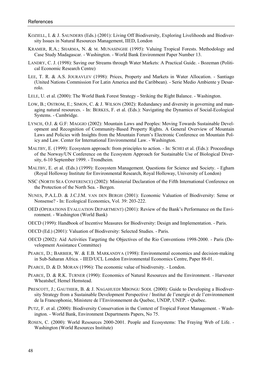- KOZIELL, I. & J. SAUNDERS (Eds.) (2001): Living Off Biodiversity, Exploring Livelihoods and Biodiversity Issues in Natural Resources Management, IIED, London
- KRAMER, R.A.; SHARMA, N. & M. MUNASINGHE (1995): Valuing Tropical Forests. Methodology and Case Study Madagascar. - Washington. - World Bank Environment Paper Number 13.
- LANDRY, C. J. (1998): Saving our Streams through Water Markets: A Practical Guide. Bozeman (Political Economic Research Centre)
- LEE, T. R. & A.S. JOURAVLEV (1998): Prices, Property and Markets in Water Allocation. Santiago (United Nations Commission For Latin America and the Caribbean). - Serie Medio Ambiente y Desarrolo.
- LELE, U. et al. (2000): The World Bank Forest Strategy Striking the Right Balance. Washington.
- LOW, B.; OSTROM, E.; SIMON, C. & J. WILSON (2002): Redundancy and diversity in governing and managing natural resources. - In: BERKES, F. et al. (Eds.): Navigating the Dynamics of Social-Ecological Systems. - Cambridge.
- LYNCH, O.J. & G:F: MAGGIO (2002): Mountain Laws and Peoples: Moving Towards Sustainable Development and Recognition of Community-Based Property Rights. A General Overview of Mountain Laws and Policies with Insights from the Mountain Forum's Electronic Conference on Mountain Policy and Law. Center for International Environmental Law. - Washington.
- MALTBY, E. (1999): Ecosystem approach: from principles to action. In: SCHEI et al. (Eds.): Proceedings of the Norway/UN Conference on the Ecosystem Approach for Sustainable Use of Biological Diversity, 6-10 September 1999. - Trondheim.
- MALTBY, E. et al. (Eds.) (1999): Ecosystem Management. Questions for Science and Society. Egham (Royal Holloway Institute for Environmental Research, Royal Holloway, University of London)
- NSC (NORTH SEA CONFERENCE) (2002): Ministerial Declaration of the Fifth International Conference on the Protection of the North Sea. - Bergen.
- NUNES, P.A.L.D. & J.C.J.M. VAN DEN BERGH (2001): Economic Valuation of Biodiversity: Sense or Nonsense? - In: Ecological Economics, Vol. 39: 203-222.
- OED (OPERATIONS EVALUATION DEPARTMENT) (2001): Review of the Bank's Performance on the Environment. - Washington (World Bank)
- OECD (1999): Handbook of Incentive Measures for Biodiversity: Design and Implementation. Paris.
- OECD (Ed.) (2001): Valuation of Biodiversity: Selected Studies. Paris.
- OECD (2002): Aid Activities Targeting the Objectives of the Rio Conventions 1998-2000. Paris (Development Assistance Committee)
- PEARCE, D.; BARBIER, W. & E.B. MARKANDYA (1998): Environmental economics and decision-making in Sub-Saharan Africa. - IIED/UCL London Environmental Economics Centre, Paper 88-01.
- PEARCE, D. & D. MORAN (1996): The economic value of biodiversity. London.
- PEARCE, D. & R.K. TURNER (1990): Economics of Natural Resources and the Environment. Harvester Wheatshef, Hemel Hemstead.
- PRESCOTT, J.; GAUTHIER, B. & J. NAGAHUEDI MBONGU SODI. (2000): Guide to Developing a Biodiversity Strategy from a Sustainable Development Perspective / Institut de l'energie et de l'environnement de la Francophonie, Ministere de l'Environnement du Quebec, UNDP, UNEP. - Quebec.
- PUTZ, F. et al. (2000): Biodiversity Conservation in the Context of Tropical Forest Management. Washington. - World Bank, Environment Departments Papers, No 75.
- ROSEN, C. (2000): World Resources 2000-2001. People and Ecosystems: The Fraying Web of Life. Washington (World Resources Institute)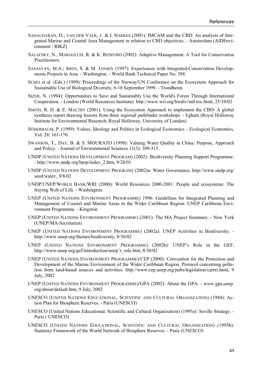- SADACHARAN, D.; VAN DER VALK, F. & I. HARKES (2001): IMCAM and the CBD: An analysis of Integrated Marine and Coastal Area Management in relation to CBD objectives. - Amsterdam (AIDEnvironment / RIKZ)
- SALAFSKY, N., MARGOLUIS, R. & K. REDFORD (2002): Adaptive Management: A Tool for Conservation Practitioners.
- SANJAYAN, M.A.; SHEN, S. & M. JANSEN (1997): Experiences with Integrated-Conservation Developments Projects in Asia. - Washington. - World Bank Technical Paper No. 388.
- SCHEI et al. (Eds.) (1999): Proceedings of the Norway/UN Conference on the Ecosystem Approach for Sustainable Use of Biological Diversity, 6-10 September 1999. - Trondheim.
- SIZER, N. (1994): Opportunities to Save and Sustainably Use the World's Forest Through International Cooperation. - London (World Resources Institute) http://www.wri.org/biodiv/intl-toc.html, 25/10/02
- SMITH, R. D. & E. MALTBY (2001): Using the Ecosystem Approach to implement the CBD: A global synthesis report drawing lessons from three regional pathfinder workshops. - Egham (Royal Holloway Institute for Environmental Research, Royal Holloway, University of London)
- SÖDERBAUM, P. (1999): Values, Ideology and Politics in Ecological Economics. Ecological Economics, Vol. 28: 161-170.
- SWANSON, T., DAY, B. & S. MOURATO (1999): Valuing Water Quality in China: Purpose, Approach and Policy. - Journal of Environmental Sciences 11(3): 309-315.
- UNDP (UNITED NATIONS DEVELOPMENT PROGRAM) (2002): Biodiversity Planning Support Programme. - http://www.undp.org/bpsp/index\_2.htm, 9/28/01
- UNDP (UNITED NATIONS DEVELOPMENT PROGRAM) (2002)a: Water Governance, http://www.undp.org/ seed/water/, 9/8/02
- UNDP/UNEP/WORLD BANK/WRI (2000): World Resources 2000-2001: People and ecosystems: The fraying Web of Life. - Washington.
- UNEP (UNITED NATIONS ENVIRONMENT PROGRAMME) 1996: Guidelines for Integrated Planning and Management of Coastal and Marine Areas in the Wider Caribbean Region: UNEP Caribbean Environment Programme. - Kingston.
- UNEP (UNITED NATIONS ENVIRONMENT PROGRAMME) (2001): The MA Project Summary. New York (UNEP/MA-Secretariat)
- UNEP (UNITED NATIONS ENVIRONMENT PROGRAMME) (2002a): UNEP Activities in Biodiversity. http://www.unep.org/themes/biodiversity, 8/30/02
- UNEP (UNITED NATIONS ENVIRONMENT PROGRAMME) (2002b): UNEP's Role in the GEF, http://www.unep.org/gef/introduction/unep's\_role.htm, 8/30/02
- UNEP (UNITED NATIONS ENVIRONMENT PROGRAMME)/CEP (2000): Convention for the Protection and Development of the Marine Environment of the Wider Caribbean Region. Protocol concerning pollution from land-based sources and activities. http://www.cep.unep.org/pubs/legislation/cartxt.html, 9 July, 2002
- UNEP (UNITED NATIONS ENVIRONMENT PROGRAMME)/GPA (2002): About the GPA. www.gpa.unep. org/about/default.htm, 9 July, 2002
- UNESCO (UNITED NATIONS EDUCATIONAL, SCIENTIFIC AND CULTURAL ORGANIZATION) (1984): Action Plan for Biosphere Reserves. - Paris (UNESCO)
- UNESCO (United Nations Educational, Scientific and Cultural Organization) (1995a): Seville Strategy. Paris ( UNESCO)
- UNESCO (UNITED NATIONS EDUCATIONAL, SCIENTIFIC AND CULTURAL ORGANIZATION) (1995b): Statutory Framework of the World Network of Biosphere Reserves. - Paris (UNESCO)